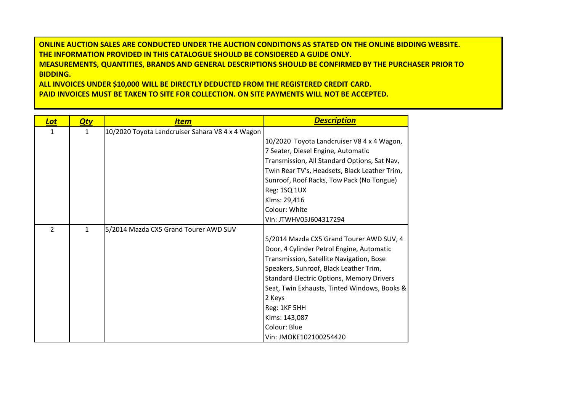**ONLINE AUCTION SALES ARE CONDUCTED UNDER THE AUCTION CONDITIONS AS STATED ON THE ONLINE BIDDING WEBSITE. THE INFORMATION PROVIDED IN THIS CATALOGUE SHOULD BE CONSIDERED A GUIDE ONLY. MEASUREMENTS, QUANTITIES, BRANDS AND GENERAL DESCRIPTIONS SHOULD BE CONFIRMED BY THE PURCHASER PRIOR TO BIDDING.**

**ALL INVOICES UNDER \$10,000 WILL BE DIRECTLY DEDUCTED FROM THE REGISTERED CREDIT CARD. PAID INVOICES MUST BE TAKEN TO SITE FOR COLLECTION. ON SITE PAYMENTS WILL NOT BE ACCEPTED.**

| <b>Lot</b>    | <u>Qty</u>   | <b>Item</b>                                      | <b>Description</b>                               |
|---------------|--------------|--------------------------------------------------|--------------------------------------------------|
| 1             | 1            | 10/2020 Toyota Landcruiser Sahara V8 4 x 4 Wagon |                                                  |
|               |              |                                                  | 10/2020 Toyota Landcruiser V8 4 x 4 Wagon,       |
|               |              |                                                  | 7 Seater, Diesel Engine, Automatic               |
|               |              |                                                  | Transmission, All Standard Options, Sat Nav,     |
|               |              |                                                  | Twin Rear TV's, Headsets, Black Leather Trim,    |
|               |              |                                                  | Sunroof, Roof Racks, Tow Pack (No Tongue)        |
|               |              |                                                  | Reg: 1SQ 1UX                                     |
|               |              |                                                  | Klms: 29,416                                     |
|               |              |                                                  | Colour: White                                    |
|               |              |                                                  | Vin: JTWHV05J604317294                           |
| $\mathcal{L}$ | $\mathbf{1}$ | 5/2014 Mazda CX5 Grand Tourer AWD SUV            |                                                  |
|               |              |                                                  | 5/2014 Mazda CX5 Grand Tourer AWD SUV, 4         |
|               |              |                                                  | Door, 4 Cylinder Petrol Engine, Automatic        |
|               |              |                                                  | Transmission, Satellite Navigation, Bose         |
|               |              |                                                  | Speakers, Sunroof, Black Leather Trim,           |
|               |              |                                                  | <b>Standard Electric Options, Memory Drivers</b> |
|               |              |                                                  | Seat, Twin Exhausts, Tinted Windows, Books &     |
|               |              |                                                  | 2 Keys                                           |
|               |              |                                                  | Reg: 1KF 5HH                                     |
|               |              |                                                  | Klms: 143,087                                    |
|               |              |                                                  | Colour: Blue                                     |
|               |              |                                                  | Vin: JMOKE102100254420                           |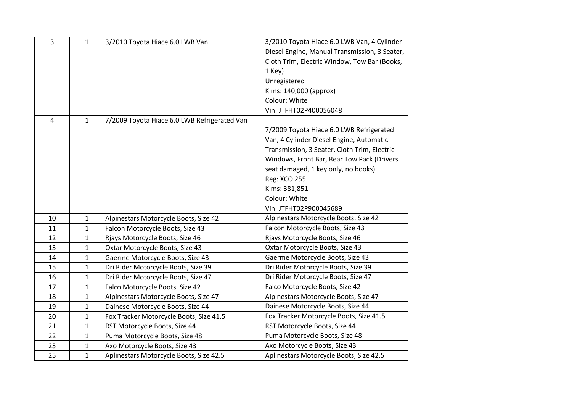| 3  | $\mathbf{1}$ | 3/2010 Toyota Hiace 6.0 LWB Van              | 3/2010 Toyota Hiace 6.0 LWB Van, 4 Cylinder   |
|----|--------------|----------------------------------------------|-----------------------------------------------|
|    |              |                                              | Diesel Engine, Manual Transmission, 3 Seater, |
|    |              |                                              | Cloth Trim, Electric Window, Tow Bar (Books,  |
|    |              |                                              | 1 Key)                                        |
|    |              |                                              | Unregistered                                  |
|    |              |                                              | Klms: 140,000 (approx)                        |
|    |              |                                              | Colour: White                                 |
|    |              |                                              | Vin: JTFHT02P400056048                        |
| 4  | 1            | 7/2009 Toyota Hiace 6.0 LWB Refrigerated Van |                                               |
|    |              |                                              | 7/2009 Toyota Hiace 6.0 LWB Refrigerated      |
|    |              |                                              | Van, 4 Cylinder Diesel Engine, Automatic      |
|    |              |                                              | Transmission, 3 Seater, Cloth Trim, Electric  |
|    |              |                                              | Windows, Front Bar, Rear Tow Pack (Drivers    |
|    |              |                                              | seat damaged, 1 key only, no books)           |
|    |              |                                              | <b>Reg: XCO 255</b>                           |
|    |              |                                              | Klms: 381,851                                 |
|    |              |                                              | Colour: White                                 |
|    |              |                                              | Vin: JTFHT02P900045689                        |
| 10 | $\mathbf{1}$ | Alpinestars Motorcycle Boots, Size 42        | Alpinestars Motorcycle Boots, Size 42         |
| 11 | $\mathbf{1}$ | Falcon Motorcycle Boots, Size 43             | Falcon Motorcycle Boots, Size 43              |
| 12 | $\mathbf{1}$ | Rjays Motorcycle Boots, Size 46              | Rjays Motorcycle Boots, Size 46               |
| 13 | 1            | Oxtar Motorcycle Boots, Size 43              | Oxtar Motorcycle Boots, Size 43               |
| 14 | 1            | Gaerme Motorcycle Boots, Size 43             | Gaerme Motorcycle Boots, Size 43              |
| 15 | 1            | Dri Rider Motorcycle Boots, Size 39          | Dri Rider Motorcycle Boots, Size 39           |
| 16 | $\mathbf{1}$ | Dri Rider Motorcycle Boots, Size 47          | Dri Rider Motorcycle Boots, Size 47           |
| 17 | $\mathbf 1$  | Falco Motorcycle Boots, Size 42              | Falco Motorcycle Boots, Size 42               |
| 18 | 1            | Alpinestars Motorcycle Boots, Size 47        | Alpinestars Motorcycle Boots, Size 47         |
| 19 | $\mathbf{1}$ | Dainese Motorcycle Boots, Size 44            | Dainese Motorcycle Boots, Size 44             |
| 20 | $\mathbf{1}$ | Fox Tracker Motorcycle Boots, Size 41.5      | Fox Tracker Motorcycle Boots, Size 41.5       |
| 21 | $\mathbf{1}$ | RST Motorcycle Boots, Size 44                | RST Motorcycle Boots, Size 44                 |
| 22 | 1            | Puma Motorcycle Boots, Size 48               | Puma Motorcycle Boots, Size 48                |
| 23 | 1            | Axo Motorcycle Boots, Size 43                | Axo Motorcycle Boots, Size 43                 |
| 25 | $\mathbf{1}$ | Aplinestars Motorcycle Boots, Size 42.5      | Aplinestars Motorcycle Boots, Size 42.5       |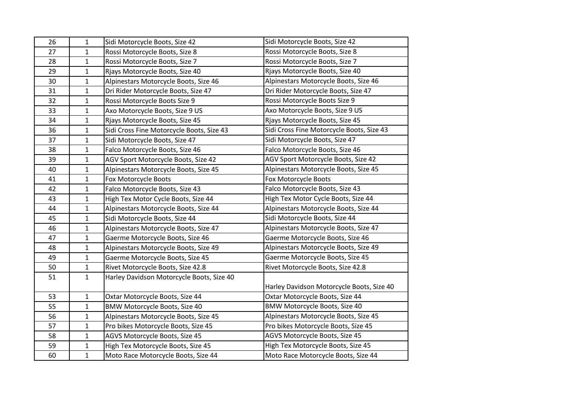| 26 | $\mathbf 1$  | Sidi Motorcycle Boots, Size 42            | Sidi Motorcycle Boots, Size 42            |
|----|--------------|-------------------------------------------|-------------------------------------------|
| 27 | $\mathbf{1}$ | Rossi Motorcycle Boots, Size 8            | Rossi Motorcycle Boots, Size 8            |
| 28 | $\mathbf{1}$ | Rossi Motorcycle Boots, Size 7            | Rossi Motorcycle Boots, Size 7            |
| 29 | $\mathbf{1}$ | Rjays Motorcycle Boots, Size 40           | Rjays Motorcycle Boots, Size 40           |
| 30 | $\mathbf{1}$ | Alpinestars Motorcycle Boots, Size 46     | Alpinestars Motorcycle Boots, Size 46     |
| 31 | $\mathbf{1}$ | Dri Rider Motorcycle Boots, Size 47       | Dri Rider Motorcycle Boots, Size 47       |
| 32 | $\mathbf{1}$ | Rossi Motorcycle Boots Size 9             | Rossi Motorcycle Boots Size 9             |
| 33 | $\mathbf{1}$ | Axo Motorcycle Boots, Size 9 US           | Axo Motorcycle Boots, Size 9 US           |
| 34 | $\mathbf{1}$ | Rjays Motorcycle Boots, Size 45           | Rjays Motorcycle Boots, Size 45           |
| 36 | $\mathbf{1}$ | Sidi Cross Fine Motorcycle Boots, Size 43 | Sidi Cross Fine Motorcycle Boots, Size 43 |
| 37 | $\mathbf{1}$ | Sidi Motorcycle Boots, Size 47            | Sidi Motorcycle Boots, Size 47            |
| 38 | $\mathbf{1}$ | Falco Motorcycle Boots, Size 46           | Falco Motorcycle Boots, Size 46           |
| 39 | $\mathbf{1}$ | AGV Sport Motorcycle Boots, Size 42       | AGV Sport Motorcycle Boots, Size 42       |
| 40 | $\mathbf{1}$ | Alpinestars Motorcycle Boots, Size 45     | Alpinestars Motorcycle Boots, Size 45     |
| 41 | $\mathbf{1}$ | Fox Motorcycle Boots                      | Fox Motorcycle Boots                      |
| 42 | $\mathbf{1}$ | Falco Motorcycle Boots, Size 43           | Falco Motorcycle Boots, Size 43           |
| 43 | $\mathbf{1}$ | High Tex Motor Cycle Boots, Size 44       | High Tex Motor Cycle Boots, Size 44       |
| 44 | $\mathbf{1}$ | Alpinestars Motorcycle Boots, Size 44     | Alpinestars Motorcycle Boots, Size 44     |
| 45 | $\mathbf 1$  | Sidi Motorcycle Boots, Size 44            | Sidi Motorcycle Boots, Size 44            |
| 46 | $\mathbf 1$  | Alpinestars Motorcycle Boots, Size 47     | Alpinestars Motorcycle Boots, Size 47     |
| 47 | $\mathbf{1}$ | Gaerme Motorcycle Boots, Size 46          | Gaerme Motorcycle Boots, Size 46          |
| 48 | $\mathbf{1}$ | Alpinestars Motorcycle Boots, Size 49     | Alpinestars Motorcycle Boots, Size 49     |
| 49 | $\mathbf{1}$ | Gaerme Motorcycle Boots, Size 45          | Gaerme Motorcycle Boots, Size 45          |
| 50 | $\mathbf{1}$ | Rivet Motorcycle Boots, Size 42.8         | Rivet Motorcycle Boots, Size 42.8         |
| 51 | $\mathbf{1}$ | Harley Davidson Motorcycle Boots, Size 40 |                                           |
|    |              |                                           | Harley Davidson Motorcycle Boots, Size 40 |
| 53 | $\mathbf{1}$ | Oxtar Motorcycle Boots, Size 44           | Oxtar Motorcycle Boots, Size 44           |
| 55 | $\mathbf{1}$ | BMW Motorcycle Boots, Size 40             | BMW Motorcycle Boots, Size 40             |
| 56 | $\mathbf{1}$ | Alpinestars Motorcycle Boots, Size 45     | Alpinestars Motorcycle Boots, Size 45     |
| 57 | $\mathbf{1}$ | Pro bikes Motorcycle Boots, Size 45       | Pro bikes Motorcycle Boots, Size 45       |
| 58 | $\mathbf{1}$ | AGVS Motorcycle Boots, Size 45            | AGVS Motorcycle Boots, Size 45            |
| 59 | $\mathbf{1}$ | High Tex Motorcycle Boots, Size 45        | High Tex Motorcycle Boots, Size 45        |
| 60 | $\mathbf{1}$ | Moto Race Motorcycle Boots, Size 44       | Moto Race Motorcycle Boots, Size 44       |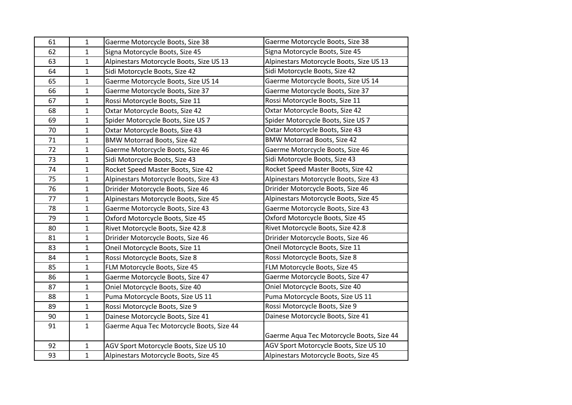| 61 | $\mathbf{1}$ | Gaerme Motorcycle Boots, Size 38          | Gaerme Motorcycle Boots, Size 38          |
|----|--------------|-------------------------------------------|-------------------------------------------|
| 62 | $\mathbf{1}$ | Signa Motorcycle Boots, Size 45           | Signa Motorcycle Boots, Size 45           |
| 63 | $\mathbf{1}$ | Alpinestars Motorcycle Boots, Size US 13  | Alpinestars Motorcycle Boots, Size US 13  |
| 64 | $\mathbf{1}$ | Sidi Motorcycle Boots, Size 42            | Sidi Motorcycle Boots, Size 42            |
| 65 | $\mathbf{1}$ | Gaerme Motorcycle Boots, Size US 14       | Gaerme Motorcycle Boots, Size US 14       |
| 66 | $\mathbf{1}$ | Gaerme Motorcycle Boots, Size 37          | Gaerme Motorcycle Boots, Size 37          |
| 67 | $\mathbf{1}$ | Rossi Motorcycle Boots, Size 11           | Rossi Motorcycle Boots, Size 11           |
| 68 | $\mathbf{1}$ | Oxtar Motorcycle Boots, Size 42           | Oxtar Motorcycle Boots, Size 42           |
| 69 | $\mathbf{1}$ | Spider Motorcycle Boots, Size US 7        | Spider Motorcycle Boots, Size US 7        |
| 70 | $\mathbf{1}$ | Oxtar Motorcycle Boots, Size 43           | Oxtar Motorcycle Boots, Size 43           |
| 71 | $\mathbf{1}$ | <b>BMW Motorrad Boots, Size 42</b>        | <b>BMW Motorrad Boots, Size 42</b>        |
| 72 | $\mathbf{1}$ | Gaerme Motorcycle Boots, Size 46          | Gaerme Motorcycle Boots, Size 46          |
| 73 | $\mathbf 1$  | Sidi Motorcycle Boots, Size 43            | Sidi Motorcycle Boots, Size 43            |
| 74 | $\mathbf{1}$ | Rocket Speed Master Boots, Size 42        | Rocket Speed Master Boots, Size 42        |
| 75 | $\mathbf{1}$ | Alpinestars Motorcycle Boots, Size 43     | Alpinestars Motorcycle Boots, Size 43     |
| 76 | $\mathbf{1}$ | Dririder Motorcycle Boots, Size 46        | Dririder Motorcycle Boots, Size 46        |
| 77 | $\mathbf{1}$ | Alpinestars Motorcycle Boots, Size 45     | Alpinestars Motorcycle Boots, Size 45     |
| 78 | $\mathbf{1}$ | Gaerme Motorcycle Boots, Size 43          | Gaerme Motorcycle Boots, Size 43          |
| 79 | $\mathbf{1}$ | Oxford Motorcycle Boots, Size 45          | Oxford Motorcycle Boots, Size 45          |
| 80 | $\mathbf{1}$ | Rivet Motorcycle Boots, Size 42.8         | Rivet Motorcycle Boots, Size 42.8         |
| 81 | $\mathbf{1}$ | Dririder Motorcycle Boots, Size 46        | Dririder Motorcycle Boots, Size 46        |
| 83 | $\mathbf{1}$ | Oneil Motorcycle Boots, Size 11           | Oneil Motorcycle Boots, Size 11           |
| 84 | $\mathbf{1}$ | Rossi Motorcycle Boots, Size 8            | Rossi Motorcycle Boots, Size 8            |
| 85 | $\mathbf{1}$ | FLM Motorcycle Boots, Size 45             | FLM Motorcycle Boots, Size 45             |
| 86 | $\mathbf{1}$ | Gaerme Motorcycle Boots, Size 47          | Gaerme Motorcycle Boots, Size 47          |
| 87 | $\mathbf{1}$ | Oniel Motorcycle Boots, Size 40           | Oniel Motorcycle Boots, Size 40           |
| 88 | $\mathbf{1}$ | Puma Motorcycle Boots, Size US 11         | Puma Motorcycle Boots, Size US 11         |
| 89 | $\mathbf{1}$ | Rossi Motorcycle Boots, Size 9            | Rossi Motorcycle Boots, Size 9            |
| 90 | $\mathbf{1}$ | Dainese Motorcycle Boots, Size 41         | Dainese Motorcycle Boots, Size 41         |
| 91 | $\mathbf{1}$ | Gaerme Aqua Tec Motorcycle Boots, Size 44 |                                           |
|    |              |                                           | Gaerme Aqua Tec Motorcycle Boots, Size 44 |
| 92 | $\mathbf{1}$ | AGV Sport Motorcycle Boots, Size US 10    | AGV Sport Motorcycle Boots, Size US 10    |
| 93 | $\mathbf{1}$ | Alpinestars Motorcycle Boots, Size 45     | Alpinestars Motorcycle Boots, Size 45     |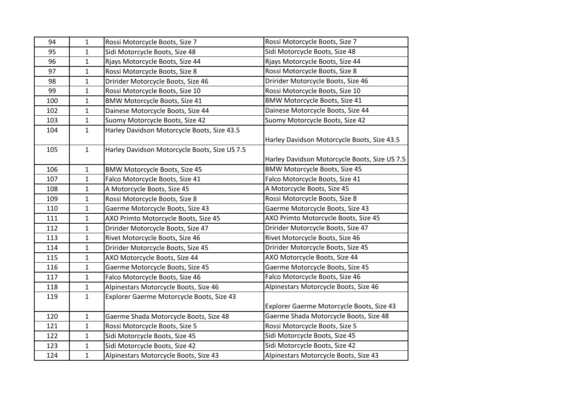| 94  | 1            | Rossi Motorcycle Boots, Size 7                | Rossi Motorcycle Boots, Size 7                |
|-----|--------------|-----------------------------------------------|-----------------------------------------------|
| 95  | $\mathbf{1}$ | Sidi Motorcycle Boots, Size 48                | Sidi Motorcycle Boots, Size 48                |
| 96  | 1            | Rjays Motorcycle Boots, Size 44               | Rjays Motorcycle Boots, Size 44               |
| 97  | $\mathbf 1$  | Rossi Motorcycle Boots, Size 8                | Rossi Motorcycle Boots, Size 8                |
| 98  | $\mathbf{1}$ | Dririder Motorcycle Boots, Size 46            | Dririder Motorcycle Boots, Size 46            |
| 99  | $\mathbf 1$  | Rossi Motorcycle Boots, Size 10               | Rossi Motorcycle Boots, Size 10               |
| 100 | $\mathbf{1}$ | <b>BMW Motorcycle Boots, Size 41</b>          | <b>BMW Motorcycle Boots, Size 41</b>          |
| 102 | 1            | Dainese Motorcycle Boots, Size 44             | Dainese Motorcycle Boots, Size 44             |
| 103 | $\mathbf 1$  | Suomy Motorcycle Boots, Size 42               | Suomy Motorcycle Boots, Size 42               |
| 104 | $\mathbf{1}$ | Harley Davidson Motorcycle Boots, Size 43.5   | Harley Davidson Motorcycle Boots, Size 43.5   |
| 105 | 1            | Harley Davidson Motorcycle Boots, Size US 7.5 | Harley Davidson Motorcycle Boots, Size US 7.5 |
| 106 | $\mathbf{1}$ | BMW Motorcycle Boots, Size 45                 | <b>BMW Motorcycle Boots, Size 45</b>          |
| 107 | $\mathbf 1$  | Falco Motorcycle Boots, Size 41               | Falco Motorcycle Boots, Size 41               |
| 108 | 1            | A Motorcycle Boots, Size 45                   | A Motorcycle Boots, Size 45                   |
| 109 | $\mathbf{1}$ | Rossi Motorcycle Boots, Size 8                | Rossi Motorcycle Boots, Size 8                |
| 110 | $\mathbf 1$  | Gaerme Motorcycle Boots, Size 43              | Gaerme Motorcycle Boots, Size 43              |
| 111 | $\mathbf 1$  | AXO Primto Motorcycle Boots, Size 45          | AXO Primto Motorcycle Boots, Size 45          |
| 112 | 1            | Dririder Motorcycle Boots, Size 47            | Dririder Motorcycle Boots, Size 47            |
| 113 | $\mathbf{1}$ | Rivet Motorcycle Boots, Size 46               | Rivet Motorcycle Boots, Size 46               |
| 114 | $\mathbf{1}$ | Dririder Motorcycle Boots, Size 45            | Dririder Motorcycle Boots, Size 45            |
| 115 | $\mathbf 1$  | AXO Motorcycle Boots, Size 44                 | AXO Motorcycle Boots, Size 44                 |
| 116 | $\mathbf{1}$ | Gaerme Motorcycle Boots, Size 45              | Gaerme Motorcycle Boots, Size 45              |
| 117 | $\mathbf{1}$ | Falco Motorcycle Boots, Size 46               | Falco Motorcycle Boots, Size 46               |
| 118 | $\mathbf 1$  | Alpinestars Motorcycle Boots, Size 46         | Alpinestars Motorcycle Boots, Size 46         |
| 119 | 1            | Explorer Gaerme Motorcycle Boots, Size 43     | Explorer Gaerme Motorcycle Boots, Size 43     |
| 120 | $\mathbf{1}$ | Gaerme Shada Motorcycle Boots, Size 48        | Gaerme Shada Motorcycle Boots, Size 48        |
| 121 | $\mathbf{1}$ | Rossi Motorcycle Boots, Size 5                | Rossi Motorcycle Boots, Size 5                |
| 122 | 1            | Sidi Motorcycle Boots, Size 45                | Sidi Motorcycle Boots, Size 45                |
| 123 | 1            | Sidi Motorcycle Boots, Size 42                | Sidi Motorcycle Boots, Size 42                |
| 124 | $\mathbf{1}$ | Alpinestars Motorcycle Boots, Size 43         | Alpinestars Motorcycle Boots, Size 43         |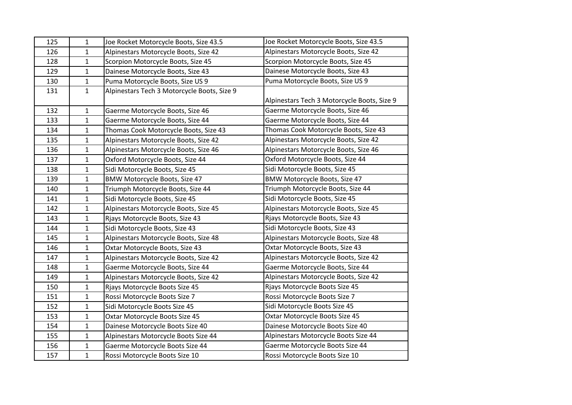| 125 | 1            | Joe Rocket Motorcycle Boots, Size 43.5      | Joe Rocket Motorcycle Boots, Size 43.5      |
|-----|--------------|---------------------------------------------|---------------------------------------------|
| 126 | $\mathbf{1}$ | Alpinestars Motorcycle Boots, Size 42       | Alpinestars Motorcycle Boots, Size 42       |
| 128 | $\mathbf{1}$ | Scorpion Motorcycle Boots, Size 45          | Scorpion Motorcycle Boots, Size 45          |
| 129 | $\mathbf{1}$ | Dainese Motorcycle Boots, Size 43           | Dainese Motorcycle Boots, Size 43           |
| 130 | $\mathbf{1}$ | Puma Motorcycle Boots, Size US 9            | Puma Motorcycle Boots, Size US 9            |
| 131 | $\mathbf{1}$ | Alpinestars Tech 3 Motorcycle Boots, Size 9 |                                             |
|     |              |                                             | Alpinestars Tech 3 Motorcycle Boots, Size 9 |
| 132 | $\mathbf{1}$ | Gaerme Motorcycle Boots, Size 46            | Gaerme Motorcycle Boots, Size 46            |
| 133 | $\mathbf{1}$ | Gaerme Motorcycle Boots, Size 44            | Gaerme Motorcycle Boots, Size 44            |
| 134 | $\mathbf{1}$ | Thomas Cook Motorcycle Boots, Size 43       | Thomas Cook Motorcycle Boots, Size 43       |
| 135 | $\mathbf{1}$ | Alpinestars Motorcycle Boots, Size 42       | Alpinestars Motorcycle Boots, Size 42       |
| 136 | $\mathbf{1}$ | Alpinestars Motorcycle Boots, Size 46       | Alpinestars Motorcycle Boots, Size 46       |
| 137 | $\mathbf{1}$ | Oxford Motorcycle Boots, Size 44            | Oxford Motorcycle Boots, Size 44            |
| 138 | $\mathbf{1}$ | Sidi Motorcycle Boots, Size 45              | Sidi Motorcycle Boots, Size 45              |
| 139 | $\mathbf{1}$ | BMW Motorcycle Boots, Size 47               | <b>BMW Motorcycle Boots, Size 47</b>        |
| 140 | $\mathbf{1}$ | Triumph Motorcycle Boots, Size 44           | Triumph Motorcycle Boots, Size 44           |
| 141 | $\mathbf{1}$ | Sidi Motorcycle Boots, Size 45              | Sidi Motorcycle Boots, Size 45              |
| 142 | $\mathbf{1}$ | Alpinestars Motorcycle Boots, Size 45       | Alpinestars Motorcycle Boots, Size 45       |
| 143 | $\mathbf{1}$ | Rjays Motorcycle Boots, Size 43             | Rjays Motorcycle Boots, Size 43             |
| 144 | $\mathbf{1}$ | Sidi Motorcycle Boots, Size 43              | Sidi Motorcycle Boots, Size 43              |
| 145 | $\mathbf{1}$ | Alpinestars Motorcycle Boots, Size 48       | Alpinestars Motorcycle Boots, Size 48       |
| 146 | $\mathbf{1}$ | Oxtar Motorcycle Boots, Size 43             | Oxtar Motorcycle Boots, Size 43             |
| 147 | $\mathbf{1}$ | Alpinestars Motorcycle Boots, Size 42       | Alpinestars Motorcycle Boots, Size 42       |
| 148 | $\mathbf{1}$ | Gaerme Motorcycle Boots, Size 44            | Gaerme Motorcycle Boots, Size 44            |
| 149 | $\mathbf{1}$ | Alpinestars Motorcycle Boots, Size 42       | Alpinestars Motorcycle Boots, Size 42       |
| 150 | $\mathbf{1}$ | Rjays Motorcycle Boots Size 45              | Rjays Motorcycle Boots Size 45              |
| 151 | $\mathbf{1}$ | Rossi Motorcycle Boots Size 7               | Rossi Motorcycle Boots Size 7               |
| 152 | $\mathbf{1}$ | Sidi Motorcycle Boots Size 45               | Sidi Motorcycle Boots Size 45               |
| 153 | $\mathbf{1}$ | Oxtar Motorcycle Boots Size 45              | Oxtar Motorcycle Boots Size 45              |
| 154 | $\mathbf{1}$ | Dainese Motorcycle Boots Size 40            | Dainese Motorcycle Boots Size 40            |
| 155 | $\mathbf{1}$ | Alpinestars Motorcycle Boots Size 44        | Alpinestars Motorcycle Boots Size 44        |
| 156 | $\mathbf{1}$ | Gaerme Motorcycle Boots Size 44             | Gaerme Motorcycle Boots Size 44             |
| 157 | $\mathbf{1}$ | Rossi Motorcycle Boots Size 10              | Rossi Motorcycle Boots Size 10              |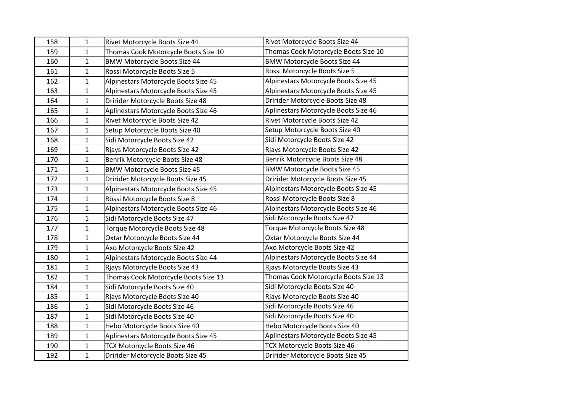| 158 | $\mathbf{1}$ | Rivet Motorcycle Boots Size 44       | Rivet Motorcycle Boots Size 44       |
|-----|--------------|--------------------------------------|--------------------------------------|
| 159 | $\mathbf 1$  | Thomas Cook Motorcycle Boots Size 10 | Thomas Cook Motorcycle Boots Size 10 |
| 160 | $\mathbf 1$  | <b>BMW Motorcycle Boots Size 44</b>  | <b>BMW Motorcycle Boots Size 44</b>  |
| 161 | 1            | Rossi Motorcycle Boots Size 5        | Rossi Motorcycle Boots Size 5        |
| 162 | 1            | Alpinestars Motorcycle Boots Size 45 | Alpinestars Motorcycle Boots Size 45 |
| 163 | 1            | Alpinestars Motorcycle Boots Size 45 | Alpinestars Motorcycle Boots Size 45 |
| 164 | 1            | Dririder Motorcycle Boots Size 48    | Dririder Motorcycle Boots Size 48    |
| 165 | 1            | Aplinestars Motorcycle Boots Size 46 | Aplinestars Motorcycle Boots Size 46 |
| 166 | $\mathbf{1}$ | Rivet Motorcycle Boots Size 42       | Rivet Motorcycle Boots Size 42       |
| 167 | $\mathbf 1$  | Setup Motorcycle Boots Size 40       | Setup Motorcycle Boots Size 40       |
| 168 | $\mathbf{1}$ | Sidi Motorcycle Boots Size 42        | Sidi Motorcycle Boots Size 42        |
| 169 | 1            | Rjays Motorcycle Boots Size 42       | Rjays Motorcycle Boots Size 42       |
| 170 | 1            | Benrik Motorcycle Boots Size 48      | Benrik Motorcycle Boots Size 48      |
| 171 | 1            | <b>BMW Motorcycle Boots Size 45</b>  | <b>BMW Motorcycle Boots Size 45</b>  |
| 172 | $\mathbf{1}$ | Dririder Motorcycle Boots Size 45    | Dririder Motorcycle Boots Size 45    |
| 173 | 1            | Alpinestars Motorcycle Boots Size 45 | Alpinestars Motorcycle Boots Size 45 |
| 174 | $\mathbf 1$  | Rossi Motorcycle Boots Size 8        | Rossi Motorcycle Boots Size 8        |
| 175 | $\mathbf{1}$ | Alpinestars Motorcycle Boots Size 46 | Alpinestars Motorcycle Boots Size 46 |
| 176 | $\mathbf{1}$ | Sidi Motorcycle Boots Size 47        | Sidi Motorcycle Boots Size 47        |
| 177 | $\mathbf{1}$ | Torque Motorcycle Boots Size 48      | Torque Motorcycle Boots Size 48      |
| 178 | $\mathbf{1}$ | Oxtar Motorcycle Boots Size 44       | Oxtar Motorcycle Boots Size 44       |
| 179 | $\mathbf{1}$ | Axo Motorcycle Boots Size 42         | Axo Motorcycle Boots Size 42         |
| 180 | 1            | Alpinestars Motorcycle Boots Size 44 | Alpinestars Motorcycle Boots Size 44 |
| 181 | $\mathbf{1}$ | Rjays Motorcycle Boots Size 43       | Rjays Motorcycle Boots Size 43       |
| 182 | $\mathbf 1$  | Thomas Cook Motorcycle Boots Size 13 | Thomas Cook Motorcycle Boots Size 13 |
| 184 | $\mathbf{1}$ | Sidi Motorcycle Boots Size 40        | Sidi Motorcycle Boots Size 40        |
| 185 | 1            | Rjays Motorcycle Boots Size 40       | Rjays Motorcycle Boots Size 40       |
| 186 | $\mathbf 1$  | Sidi Motorcycle Boots Size 46        | Sidi Motorcycle Boots Size 46        |
| 187 | $\mathbf 1$  | Sidi Motorcycle Boots Size 40        | Sidi Motorcycle Boots Size 40        |
| 188 | 1            | Hebo Motorcycle Boots Size 40        | Hebo Motorcycle Boots Size 40        |
| 189 | 1            | Aplinestars Motorcycle Boots Size 45 | Aplinestars Motorcycle Boots Size 45 |
| 190 | $\mathbf 1$  | TCX Motorcycle Boots Size 46         | TCX Motorcycle Boots Size 46         |
| 192 | $\mathbf{1}$ | Dririder Motorcycle Boots Size 45    | Dririder Motorcycle Boots Size 45    |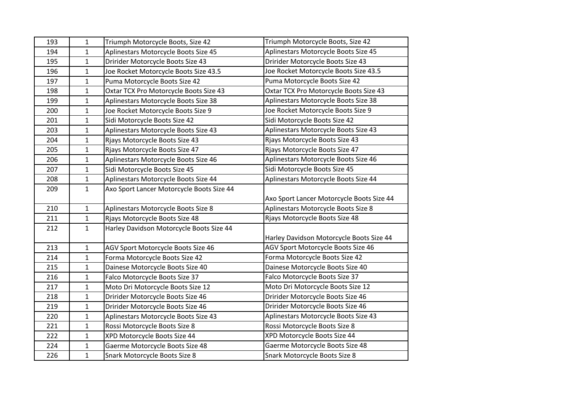| 193 | $\mathbf{1}$ | Triumph Motorcycle Boots, Size 42         | Triumph Motorcycle Boots, Size 42         |
|-----|--------------|-------------------------------------------|-------------------------------------------|
| 194 | $\mathbf{1}$ | Aplinestars Motorcycle Boots Size 45      | Aplinestars Motorcycle Boots Size 45      |
| 195 | $\mathbf{1}$ | Dririder Motorcycle Boots Size 43         | Dririder Motorcycle Boots Size 43         |
| 196 | $\mathbf{1}$ | Joe Rocket Motorcycle Boots Size 43.5     | Joe Rocket Motorcycle Boots Size 43.5     |
| 197 | $\mathbf{1}$ | Puma Motorcycle Boots Size 42             | Puma Motorcycle Boots Size 42             |
| 198 | $\mathbf{1}$ | Oxtar TCX Pro Motorcycle Boots Size 43    | Oxtar TCX Pro Motorcycle Boots Size 43    |
| 199 | $\mathbf{1}$ | Aplinestars Motorcycle Boots Size 38      | Aplinestars Motorcycle Boots Size 38      |
| 200 | $\mathbf 1$  | Joe Rocket Motorcycle Boots Size 9        | Joe Rocket Motorcycle Boots Size 9        |
| 201 | $\mathbf{1}$ | Sidi Motorcycle Boots Size 42             | Sidi Motorcycle Boots Size 42             |
| 203 | $\mathbf{1}$ | Aplinestars Motorcycle Boots Size 43      | Aplinestars Motorcycle Boots Size 43      |
| 204 | $\mathbf{1}$ | Rjays Motorcycle Boots Size 43            | Rjays Motorcycle Boots Size 43            |
| 205 | $\mathbf{1}$ | Rjays Motorcycle Boots Size 47            | Rjays Motorcycle Boots Size 47            |
| 206 | $\mathbf{1}$ | Aplinestars Motorcycle Boots Size 46      | Aplinestars Motorcycle Boots Size 46      |
| 207 | $\mathbf{1}$ | Sidi Motorcycle Boots Size 45             | Sidi Motorcycle Boots Size 45             |
| 208 | $\mathbf 1$  | Aplinestars Motorcycle Boots Size 44      | Aplinestars Motorcycle Boots Size 44      |
| 209 | $\mathbf{1}$ | Axo Sport Lancer Motorcycle Boots Size 44 |                                           |
|     |              |                                           | Axo Sport Lancer Motorcycle Boots Size 44 |
| 210 | $\mathbf{1}$ | Aplinestars Motorcycle Boots Size 8       | Aplinestars Motorcycle Boots Size 8       |
| 211 | $\mathbf{1}$ | Rjays Motorcycle Boots Size 48            | Rjays Motorcycle Boots Size 48            |
| 212 | $\mathbf{1}$ | Harley Davidson Motorcycle Boots Size 44  |                                           |
|     |              |                                           | Harley Davidson Motorcycle Boots Size 44  |
| 213 | $\mathbf{1}$ | AGV Sport Motorcycle Boots Size 46        | AGV Sport Motorcycle Boots Size 46        |
| 214 | $\mathbf{1}$ | Forma Motorcycle Boots Size 42            | Forma Motorcycle Boots Size 42            |
| 215 | $\mathbf{1}$ | Dainese Motorcycle Boots Size 40          | Dainese Motorcycle Boots Size 40          |
| 216 | $\mathbf{1}$ | Falco Motorcycle Boots Size 37            | Falco Motorcycle Boots Size 37            |
| 217 | $\mathbf{1}$ | Moto Dri Motorcycle Boots Size 12         | Moto Dri Motorcycle Boots Size 12         |
| 218 | $\mathbf{1}$ | Dririder Motorcycle Boots Size 46         | Dririder Motorcycle Boots Size 46         |
| 219 | $\mathbf{1}$ | Dririder Motorcycle Boots Size 46         | Dririder Motorcycle Boots Size 46         |
| 220 | $\mathbf{1}$ | Aplinestars Motorcycle Boots Size 43      | Aplinestars Motorcycle Boots Size 43      |
| 221 | $\mathbf{1}$ | Rossi Motorcycle Boots Size 8             | Rossi Motorcycle Boots Size 8             |
| 222 | $\mathbf{1}$ | XPD Motorcycle Boots Size 44              | XPD Motorcycle Boots Size 44              |
| 224 | $\mathbf{1}$ | Gaerme Motorcycle Boots Size 48           | Gaerme Motorcycle Boots Size 48           |
| 226 | $\mathbf{1}$ | Snark Motorcycle Boots Size 8             | Snark Motorcycle Boots Size 8             |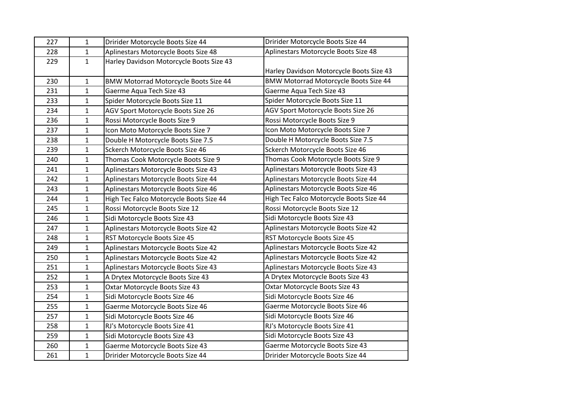| 227 | 1            | Dririder Motorcycle Boots Size 44            | Dririder Motorcycle Boots Size 44        |
|-----|--------------|----------------------------------------------|------------------------------------------|
| 228 | $\mathbf{1}$ | Aplinestars Motorcycle Boots Size 48         | Aplinestars Motorcycle Boots Size 48     |
| 229 | $\mathbf{1}$ | Harley Davidson Motorcycle Boots Size 43     |                                          |
|     |              |                                              | Harley Davidson Motorcycle Boots Size 43 |
| 230 | 1            | <b>BMW Motorrad Motorcycle Boots Size 44</b> | BMW Motorrad Motorcycle Boots Size 44    |
| 231 | $\mathbf{1}$ | Gaerme Aqua Tech Size 43                     | Gaerme Aqua Tech Size 43                 |
| 233 | $\mathbf 1$  | Spider Motorcycle Boots Size 11              | Spider Motorcycle Boots Size 11          |
| 234 | 1            | AGV Sport Motorcycle Boots Size 26           | AGV Sport Motorcycle Boots Size 26       |
| 236 | $\mathbf 1$  | Rossi Motorcycle Boots Size 9                | Rossi Motorcycle Boots Size 9            |
| 237 | 1            | Icon Moto Motorcycle Boots Size 7            | Icon Moto Motorcycle Boots Size 7        |
| 238 | $\mathbf 1$  | Double H Motorcycle Boots Size 7.5           | Double H Motorcycle Boots Size 7.5       |
| 239 | 1            | Sckerch Motorcycle Boots Size 46             | Sckerch Motorcycle Boots Size 46         |
| 240 | $\mathbf{1}$ | Thomas Cook Motorcycle Boots Size 9          | Thomas Cook Motorcycle Boots Size 9      |
| 241 | $\mathbf 1$  | Aplinestars Motorcycle Boots Size 43         | Aplinestars Motorcycle Boots Size 43     |
| 242 | $\mathbf 1$  | Aplinestars Motorcycle Boots Size 44         | Aplinestars Motorcycle Boots Size 44     |
| 243 | 1            | Aplinestars Motorcycle Boots Size 46         | Aplinestars Motorcycle Boots Size 46     |
| 244 | 1            | High Tec Falco Motorcycle Boots Size 44      | High Tec Falco Motorcycle Boots Size 44  |
| 245 | $\mathbf{1}$ | Rossi Motorcycle Boots Size 12               | Rossi Motorcycle Boots Size 12           |
| 246 | $\mathbf 1$  | Sidi Motorcycle Boots Size 43                | Sidi Motorcycle Boots Size 43            |
| 247 | $\mathbf{1}$ | Aplinestars Motorcycle Boots Size 42         | Aplinestars Motorcycle Boots Size 42     |
| 248 | $\mathbf 1$  | RST Motorcycle Boots Size 45                 | RST Motorcycle Boots Size 45             |
| 249 | $\mathbf{1}$ | Aplinestars Motorcycle Boots Size 42         | Aplinestars Motorcycle Boots Size 42     |
| 250 | 1            | Aplinestars Motorcycle Boots Size 42         | Aplinestars Motorcycle Boots Size 42     |
| 251 | $\mathbf 1$  | Aplinestars Motorcycle Boots Size 43         | Aplinestars Motorcycle Boots Size 43     |
| 252 | $\mathbf 1$  | A Drytex Motorcycle Boots Size 43            | A Drytex Motorcycle Boots Size 43        |
| 253 | $\mathbf{1}$ | Oxtar Motorcycle Boots Size 43               | Oxtar Motorcycle Boots Size 43           |
| 254 | 1            | Sidi Motorcycle Boots Size 46                | Sidi Motorcycle Boots Size 46            |
| 255 | $\mathbf 1$  | Gaerme Motorcycle Boots Size 46              | Gaerme Motorcycle Boots Size 46          |
| 257 | $\mathbf 1$  | Sidi Motorcycle Boots Size 46                | Sidi Motorcycle Boots Size 46            |
| 258 | 1            | RJ's Motorcycle Boots Size 41                | RJ's Motorcycle Boots Size 41            |
| 259 | 1            | Sidi Motorcycle Boots Size 43                | Sidi Motorcycle Boots Size 43            |
| 260 | $\mathbf 1$  | Gaerme Motorcycle Boots Size 43              | Gaerme Motorcycle Boots Size 43          |
| 261 | $\mathbf{1}$ | Dririder Motorcycle Boots Size 44            | Dririder Motorcycle Boots Size 44        |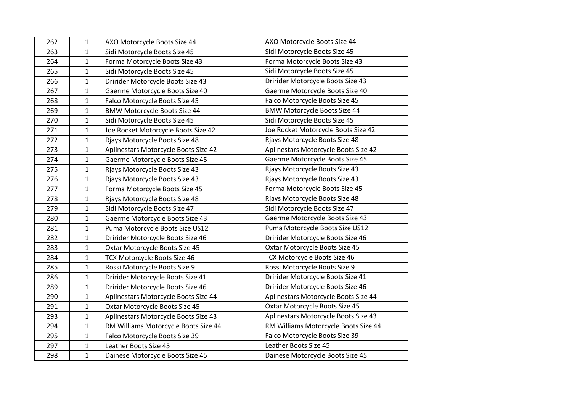| 262 | $\mathbf 1$  | AXO Motorcycle Boots Size 44         | AXO Motorcycle Boots Size 44         |
|-----|--------------|--------------------------------------|--------------------------------------|
| 263 | $\mathbf{1}$ | Sidi Motorcycle Boots Size 45        | Sidi Motorcycle Boots Size 45        |
| 264 | $\mathbf{1}$ | Forma Motorcycle Boots Size 43       | Forma Motorcycle Boots Size 43       |
| 265 | 1            | Sidi Motorcycle Boots Size 45        | Sidi Motorcycle Boots Size 45        |
| 266 | $\mathbf{1}$ | Dririder Motorcycle Boots Size 43    | Dririder Motorcycle Boots Size 43    |
| 267 | $\mathbf{1}$ | Gaerme Motorcycle Boots Size 40      | Gaerme Motorcycle Boots Size 40      |
| 268 | $\mathbf{1}$ | Falco Motorcycle Boots Size 45       | Falco Motorcycle Boots Size 45       |
| 269 | $\mathbf{1}$ | <b>BMW Motorcycle Boots Size 44</b>  | <b>BMW Motorcycle Boots Size 44</b>  |
| 270 | $\mathbf{1}$ | Sidi Motorcycle Boots Size 45        | Sidi Motorcycle Boots Size 45        |
| 271 | $\mathbf{1}$ | Joe Rocket Motorcycle Boots Size 42  | Joe Rocket Motorcycle Boots Size 42  |
| 272 | $\mathbf{1}$ | Rjays Motorcycle Boots Size 48       | Rjays Motorcycle Boots Size 48       |
| 273 | 1            | Aplinestars Motorcycle Boots Size 42 | Aplinestars Motorcycle Boots Size 42 |
| 274 | $\mathbf{1}$ | Gaerme Motorcycle Boots Size 45      | Gaerme Motorcycle Boots Size 45      |
| 275 | $\mathbf{1}$ | Rjays Motorcycle Boots Size 43       | Rjays Motorcycle Boots Size 43       |
| 276 | $\mathbf{1}$ | Rjays Motorcycle Boots Size 43       | Rjays Motorcycle Boots Size 43       |
| 277 | $\mathbf{1}$ | Forma Motorcycle Boots Size 45       | Forma Motorcycle Boots Size 45       |
| 278 | $\mathbf{1}$ | Rjays Motorcycle Boots Size 48       | Rjays Motorcycle Boots Size 48       |
| 279 | $\mathbf{1}$ | Sidi Motorcycle Boots Size 47        | Sidi Motorcycle Boots Size 47        |
| 280 | $\mathbf{1}$ | Gaerme Motorcycle Boots Size 43      | Gaerme Motorcycle Boots Size 43      |
| 281 | $\mathbf{1}$ | Puma Motorcycle Boots Size US12      | Puma Motorcycle Boots Size US12      |
| 282 | $\mathbf{1}$ | Dririder Motorcycle Boots Size 46    | Dririder Motorcycle Boots Size 46    |
| 283 | $\mathbf{1}$ | Oxtar Motorcycle Boots Size 45       | Oxtar Motorcycle Boots Size 45       |
| 284 | 1            | TCX Motorcycle Boots Size 46         | TCX Motorcycle Boots Size 46         |
| 285 | $\mathbf{1}$ | Rossi Motorcycle Boots Size 9        | Rossi Motorcycle Boots Size 9        |
| 286 | $\mathbf{1}$ | Dririder Motorcycle Boots Size 41    | Dririder Motorcycle Boots Size 41    |
| 289 | $\mathbf{1}$ | Dririder Motorcycle Boots Size 46    | Dririder Motorcycle Boots Size 46    |
| 290 | $\mathbf{1}$ | Aplinestars Motorcycle Boots Size 44 | Aplinestars Motorcycle Boots Size 44 |
| 291 | $\mathbf{1}$ | Oxtar Motorcycle Boots Size 45       | Oxtar Motorcycle Boots Size 45       |
| 293 | $\mathbf{1}$ | Aplinestars Motorcycle Boots Size 43 | Aplinestars Motorcycle Boots Size 43 |
| 294 | $\mathbf{1}$ | RM Williams Motorcycle Boots Size 44 | RM Williams Motorcycle Boots Size 44 |
| 295 | $\mathbf{1}$ | Falco Motorcycle Boots Size 39       | Falco Motorcycle Boots Size 39       |
| 297 | $\mathbf{1}$ | Leather Boots Size 45                | Leather Boots Size 45                |
| 298 | $\mathbf{1}$ | Dainese Motorcycle Boots Size 45     | Dainese Motorcycle Boots Size 45     |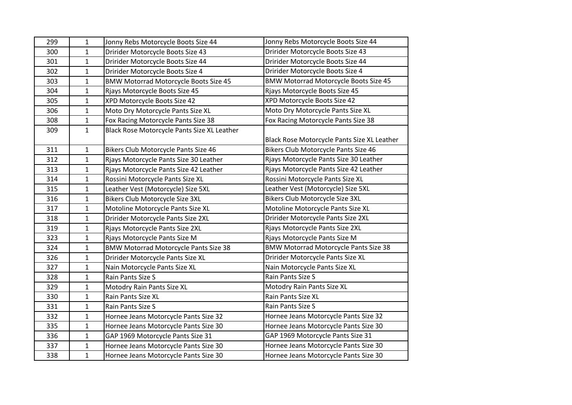| 299 | 1            | Jonny Rebs Motorcycle Boots Size 44          | Jonny Rebs Motorcycle Boots Size 44          |
|-----|--------------|----------------------------------------------|----------------------------------------------|
| 300 | $\mathbf{1}$ | Dririder Motorcycle Boots Size 43            | Dririder Motorcycle Boots Size 43            |
| 301 | $\mathbf{1}$ | Dririder Motorcycle Boots Size 44            | Dririder Motorcycle Boots Size 44            |
| 302 | $\mathbf{1}$ | Dririder Motorcycle Boots Size 4             | Dririder Motorcycle Boots Size 4             |
| 303 | $\mathbf{1}$ | <b>BMW Motorrad Motorcycle Boots Size 45</b> | <b>BMW Motorrad Motorcycle Boots Size 45</b> |
| 304 | 1            | Rjays Motorcycle Boots Size 45               | Rjays Motorcycle Boots Size 45               |
| 305 | $\mathbf{1}$ | XPD Motorcycle Boots Size 42                 | XPD Motorcycle Boots Size 42                 |
| 306 | 1            | Moto Dry Motorcycle Pants Size XL            | Moto Dry Motorcycle Pants Size XL            |
| 308 | $\mathbf{1}$ | Fox Racing Motorcycle Pants Size 38          | Fox Racing Motorcycle Pants Size 38          |
| 309 | $\mathbf{1}$ | Black Rose Motorcycle Pants Size XL Leather  |                                              |
|     |              |                                              | Black Rose Motorcycle Pants Size XL Leather  |
| 311 | 1            | Bikers Club Motorcycle Pants Size 46         | Bikers Club Motorcycle Pants Size 46         |
| 312 | $\mathbf{1}$ | Rjays Motorcycle Pants Size 30 Leather       | Rjays Motorcycle Pants Size 30 Leather       |
| 313 | $\mathbf{1}$ | Rjays Motorcycle Pants Size 42 Leather       | Rjays Motorcycle Pants Size 42 Leather       |
| 314 | $\mathbf{1}$ | Rossini Motorcycle Pants Size XL             | Rossini Motorcycle Pants Size XL             |
| 315 | 1            | Leather Vest (Motorcycle) Size 5XL           | Leather Vest (Motorcycle) Size 5XL           |
| 316 | $\mathbf{1}$ | Bikers Club Motorcycle Size 3XL              | Bikers Club Motorcycle Size 3XL              |
| 317 | $\mathbf{1}$ | Motoline Motorcycle Pants Size XL            | Motoline Motorcycle Pants Size XL            |
| 318 | $\mathbf{1}$ | Dririder Motorcycle Pants Size 2XL           | Dririder Motorcycle Pants Size 2XL           |
| 319 | $\mathbf{1}$ | Rjays Motorcycle Pants Size 2XL              | Rjays Motorcycle Pants Size 2XL              |
| 323 | $\mathbf{1}$ | Rjays Motorcycle Pants Size M                | Rjays Motorcycle Pants Size M                |
| 324 | $\mathbf{1}$ | <b>BMW Motorrad Motorcycle Pants Size 38</b> | <b>BMW Motorrad Motorcycle Pants Size 38</b> |
| 326 | $\mathbf{1}$ | Dririder Motorcycle Pants Size XL            | Dririder Motorcycle Pants Size XL            |
| 327 | $\mathbf{1}$ | Nain Motorcycle Pants Size XL                | Nain Motorcycle Pants Size XL                |
| 328 | $\mathbf{1}$ | Rain Pants Size S                            | Rain Pants Size S                            |
| 329 | $\mathbf{1}$ | Motodry Rain Pants Size XL                   | Motodry Rain Pants Size XL                   |
| 330 | 1            | Rain Pants Size XL                           | Rain Pants Size XL                           |
| 331 | $\mathbf{1}$ | Rain Pants Size S                            | Rain Pants Size S                            |
| 332 | $\mathbf{1}$ | Hornee Jeans Motorcycle Pants Size 32        | Hornee Jeans Motorcycle Pants Size 32        |
| 335 | $\mathbf{1}$ | Hornee Jeans Motorcycle Pants Size 30        | Hornee Jeans Motorcycle Pants Size 30        |
| 336 | 1            | GAP 1969 Motorcycle Pants Size 31            | GAP 1969 Motorcycle Pants Size 31            |
| 337 | 1            | Hornee Jeans Motorcycle Pants Size 30        | Hornee Jeans Motorcycle Pants Size 30        |
| 338 | $\mathbf{1}$ | Hornee Jeans Motorcycle Pants Size 30        | Hornee Jeans Motorcycle Pants Size 30        |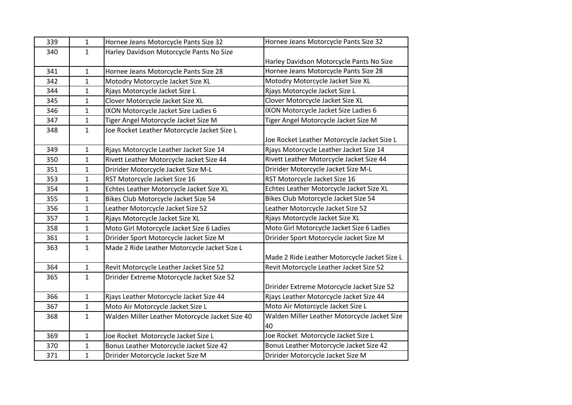| 339 | $\mathbf 1$  | Hornee Jeans Motorcycle Pants Size 32           | Hornee Jeans Motorcycle Pants Size 32        |
|-----|--------------|-------------------------------------------------|----------------------------------------------|
| 340 | $\mathbf{1}$ | Harley Davidson Motorcycle Pants No Size        |                                              |
|     |              |                                                 | Harley Davidson Motorcycle Pants No Size     |
| 341 | $\mathbf 1$  | Hornee Jeans Motorcycle Pants Size 28           | Hornee Jeans Motorcycle Pants Size 28        |
| 342 | $\mathbf{1}$ | Motodry Motorcycle Jacket Size XL               | Motodry Motorcycle Jacket Size XL            |
| 344 | $\mathbf{1}$ | Rjays Motorcycle Jacket Size L                  | Rjays Motorcycle Jacket Size L               |
| 345 | $\mathbf{1}$ | Clover Motorcycle Jacket Size XL                | Clover Motorcycle Jacket Size XL             |
| 346 | $\mathbf{1}$ | IXON Motorcycle Jacket Size Ladies 6            | IXON Motorcycle Jacket Size Ladies 6         |
| 347 | $\mathbf{1}$ | Tiger Angel Motorcycle Jacket Size M            | Tiger Angel Motorcycle Jacket Size M         |
| 348 | $\mathbf{1}$ | Joe Rocket Leather Motorcycle Jacket Size L     |                                              |
|     |              |                                                 | Joe Rocket Leather Motorcycle Jacket Size L  |
| 349 | $\mathbf{1}$ | Rjays Motorcycle Leather Jacket Size 14         | Rjays Motorcycle Leather Jacket Size 14      |
| 350 | $\mathbf{1}$ | Rivett Leather Motorcycle Jacket Size 44        | Rivett Leather Motorcycle Jacket Size 44     |
| 351 | $\mathbf{1}$ | Dririder Motorcycle Jacket Size M-L             | Dririder Motorcycle Jacket Size M-L          |
| 353 | $\mathbf{1}$ | RST Motorcycle Jacket Size 16                   | RST Motorcycle Jacket Size 16                |
| 354 | $\mathbf{1}$ | Echtes Leather Motorcycle Jacket Size XL        | Echtes Leather Motorcycle Jacket Size XL     |
| 355 | $\mathbf{1}$ | Bikes Club Motorcycle Jacket Size 54            | Bikes Club Motorcycle Jacket Size 54         |
| 356 | $\mathbf{1}$ | Leather Motorcycle Jacket Size 52               | Leather Motorcycle Jacket Size 52            |
| 357 | $\mathbf{1}$ | Rjays Motorcycle Jacket Size XL                 | Rjays Motorcycle Jacket Size XL              |
| 358 | $\mathbf{1}$ | Moto Girl Motorcycle Jacket Size 6 Ladies       | Moto Girl Motorcycle Jacket Size 6 Ladies    |
| 361 | $\mathbf{1}$ | Dririder Sport Motorcycle Jacket Size M         | Dririder Sport Motorcycle Jacket Size M      |
| 363 | $\mathbf{1}$ | Made 2 Ride Leather Motorcycle Jacket Size L    |                                              |
|     |              |                                                 | Made 2 Ride Leather Motorcycle Jacket Size L |
| 364 | $\mathbf 1$  | Revit Motorcycle Leather Jacket Size 52         | Revit Motorcycle Leather Jacket Size 52      |
| 365 | $\mathbf{1}$ | Dririder Extreme Motorcycle Jacket Size 52      |                                              |
|     |              |                                                 | Dririder Extreme Motorcycle Jacket Size 52   |
| 366 | $\mathbf{1}$ | Rjays Leather Motorcycle Jacket Size 44         | Rjays Leather Motorcycle Jacket Size 44      |
| 367 | $\mathbf{1}$ | Moto Air Motorcycle Jacket Size L               | Moto Air Motorcycle Jacket Size L            |
| 368 | $\mathbf{1}$ | Walden Miller Leather Motorcycle Jacket Size 40 | Walden Miller Leather Motorcycle Jacket Size |
|     |              |                                                 | 40                                           |
| 369 | $\mathbf{1}$ | Joe Rocket Motorcycle Jacket Size L             | Joe Rocket Motorcycle Jacket Size L          |
| 370 | $\mathbf{1}$ | Bonus Leather Motorcycle Jacket Size 42         | Bonus Leather Motorcycle Jacket Size 42      |
| 371 | $\mathbf{1}$ | Dririder Motorcycle Jacket Size M               | Dririder Motorcycle Jacket Size M            |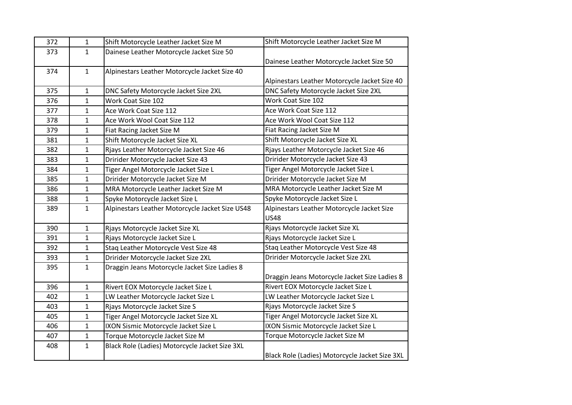| 372 | 1            | Shift Motorcycle Leather Jacket Size M          | Shift Motorcycle Leather Jacket Size M         |
|-----|--------------|-------------------------------------------------|------------------------------------------------|
| 373 | $\mathbf{1}$ | Dainese Leather Motorcycle Jacket Size 50       |                                                |
|     |              |                                                 | Dainese Leather Motorcycle Jacket Size 50      |
| 374 | $\mathbf{1}$ | Alpinestars Leather Motorcycle Jacket Size 40   |                                                |
|     |              |                                                 | Alpinestars Leather Motorcycle Jacket Size 40  |
| 375 | $\mathbf{1}$ | DNC Safety Motorcycle Jacket Size 2XL           | DNC Safety Motorcycle Jacket Size 2XL          |
| 376 | $\mathbf{1}$ | Work Coat Size 102                              | Work Coat Size 102                             |
| 377 | $\mathbf{1}$ | Ace Work Coat Size 112                          | Ace Work Coat Size 112                         |
| 378 | $\mathbf{1}$ | Ace Work Wool Coat Size 112                     | Ace Work Wool Coat Size 112                    |
| 379 | $\mathbf{1}$ | Fiat Racing Jacket Size M                       | Fiat Racing Jacket Size M                      |
| 381 | $\mathbf{1}$ | Shift Motorcycle Jacket Size XL                 | Shift Motorcycle Jacket Size XL                |
| 382 | 1            | Rjays Leather Motorcycle Jacket Size 46         | Rjays Leather Motorcycle Jacket Size 46        |
| 383 | $\mathbf{1}$ | Dririder Motorcycle Jacket Size 43              | Dririder Motorcycle Jacket Size 43             |
| 384 | $\mathbf{1}$ | Tiger Angel Motorcycle Jacket Size L            | Tiger Angel Motorcycle Jacket Size L           |
| 385 | $\mathbf{1}$ | Dririder Motorcycle Jacket Size M               | Dririder Motorcycle Jacket Size M              |
| 386 | $\mathbf{1}$ | MRA Motorcycle Leather Jacket Size M            | MRA Motorcycle Leather Jacket Size M           |
| 388 | $\mathbf{1}$ | Spyke Motorcycle Jacket Size L                  | Spyke Motorcycle Jacket Size L                 |
| 389 | $\mathbf{1}$ | Alpinestars Leather Motorcycle Jacket Size US48 | Alpinestars Leather Motorcycle Jacket Size     |
|     |              |                                                 | <b>US48</b>                                    |
| 390 | $\mathbf{1}$ | Rjays Motorcycle Jacket Size XL                 | Rjays Motorcycle Jacket Size XL                |
| 391 | $\mathbf{1}$ | Rjays Motorcycle Jacket Size L                  | Rjays Motorcycle Jacket Size L                 |
| 392 | $\mathbf{1}$ | Staq Leather Motorcycle Vest Size 48            | Staq Leather Motorcycle Vest Size 48           |
| 393 | $\mathbf{1}$ | Dririder Motorcycle Jacket Size 2XL             | Dririder Motorcycle Jacket Size 2XL            |
| 395 | $\mathbf{1}$ | Draggin Jeans Motorcycle Jacket Size Ladies 8   |                                                |
|     |              |                                                 | Draggin Jeans Motorcycle Jacket Size Ladies 8  |
| 396 | $\mathbf{1}$ | Rivert EOX Motorcycle Jacket Size L             | Rivert EOX Motorcycle Jacket Size L            |
| 402 | $\mathbf{1}$ | LW Leather Motorcycle Jacket Size L             | LW Leather Motorcycle Jacket Size L            |
| 403 | $\mathbf{1}$ | Rjays Motorcycle Jacket Size S                  | Rjays Motorcycle Jacket Size S                 |
| 405 | $\mathbf{1}$ | Tiger Angel Motorcycle Jacket Size XL           | Tiger Angel Motorcycle Jacket Size XL          |
| 406 | $\mathbf{1}$ | IXON Sismic Motorcycle Jacket Size L            | IXON Sismic Motorcycle Jacket Size L           |
| 407 | $\mathbf{1}$ | Torque Motorcycle Jacket Size M                 | Torque Motorcycle Jacket Size M                |
| 408 | $\mathbf{1}$ | Black Role (Ladies) Motorcycle Jacket Size 3XL  |                                                |
|     |              |                                                 | Black Role (Ladies) Motorcycle Jacket Size 3XL |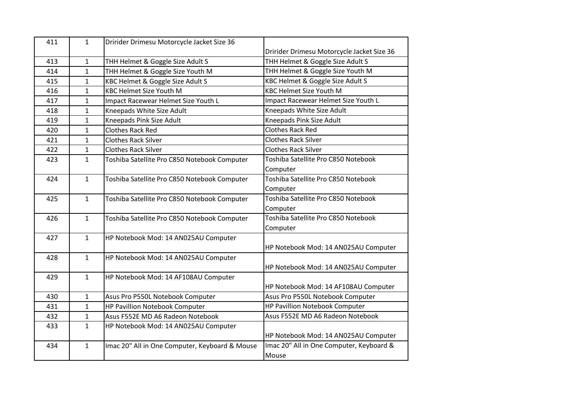| 411 | $\mathbf{1}$ | Dririder Drimesu Motorcycle Jacket Size 36     |                                            |
|-----|--------------|------------------------------------------------|--------------------------------------------|
|     |              |                                                | Dririder Drimesu Motorcycle Jacket Size 36 |
| 413 | $\mathbf{1}$ | THH Helmet & Goggle Size Adult S               | THH Helmet & Goggle Size Adult S           |
| 414 | $\mathbf{1}$ | THH Helmet & Goggle Size Youth M               | THH Helmet & Goggle Size Youth M           |
| 415 | $\mathbf{1}$ | KBC Helmet & Goggle Size Adult S               | KBC Helmet & Goggle Size Adult S           |
| 416 | $\mathbf{1}$ | <b>KBC Helmet Size Youth M</b>                 | <b>KBC Helmet Size Youth M</b>             |
| 417 | $\mathbf{1}$ | Impact Racewear Helmet Size Youth L            | Impact Racewear Helmet Size Youth L        |
| 418 | $\mathbf{1}$ | Kneepads White Size Adult                      | Kneepads White Size Adult                  |
| 419 | $\mathbf{1}$ | Kneepads Pink Size Adult                       | Kneepads Pink Size Adult                   |
| 420 | $\mathbf{1}$ | <b>Clothes Rack Red</b>                        | <b>Clothes Rack Red</b>                    |
| 421 | $\mathbf{1}$ | <b>Clothes Rack Silver</b>                     | <b>Clothes Rack Silver</b>                 |
| 422 | $\mathbf{1}$ | <b>Clothes Rack Silver</b>                     | <b>Clothes Rack Silver</b>                 |
| 423 | $\mathbf{1}$ | Toshiba Satellite Pro C850 Notebook Computer   | Toshiba Satellite Pro C850 Notebook        |
|     |              |                                                | Computer                                   |
| 424 | $\mathbf{1}$ | Toshiba Satellite Pro C850 Notebook Computer   | Toshiba Satellite Pro C850 Notebook        |
|     |              |                                                | Computer                                   |
| 425 | $\mathbf{1}$ | Toshiba Satellite Pro C850 Notebook Computer   | Toshiba Satellite Pro C850 Notebook        |
|     |              |                                                | Computer                                   |
| 426 | $\mathbf{1}$ | Toshiba Satellite Pro C850 Notebook Computer   | Toshiba Satellite Pro C850 Notebook        |
|     |              |                                                | Computer                                   |
| 427 | $\mathbf{1}$ | HP Notebook Mod: 14 AN025AU Computer           |                                            |
|     |              |                                                | HP Notebook Mod: 14 AN025AU Computer       |
| 428 | $\mathbf{1}$ | HP Notebook Mod: 14 AN025AU Computer           |                                            |
|     |              |                                                | HP Notebook Mod: 14 AN025AU Computer       |
| 429 | $\mathbf{1}$ | HP Notebook Mod: 14 AF108AU Computer           |                                            |
|     |              |                                                | HP Notebook Mod: 14 AF108AU Computer       |
| 430 | $\mathbf{1}$ | Asus Pro P550L Notebook Computer               | Asus Pro P550L Notebook Computer           |
| 431 | $\mathbf{1}$ | HP Pavillion Notebook Computer                 | HP Pavillion Notebook Computer             |
| 432 | $\mathbf{1}$ | Asus F552E MD A6 Radeon Notebook               | Asus F552E MD A6 Radeon Notebook           |
| 433 | $\mathbf{1}$ | HP Notebook Mod: 14 AN025AU Computer           |                                            |
|     |              |                                                | HP Notebook Mod: 14 AN025AU Computer       |
| 434 | $\mathbf{1}$ | Imac 20" All in One Computer, Keyboard & Mouse | Imac 20" All in One Computer, Keyboard &   |
|     |              |                                                | Mouse                                      |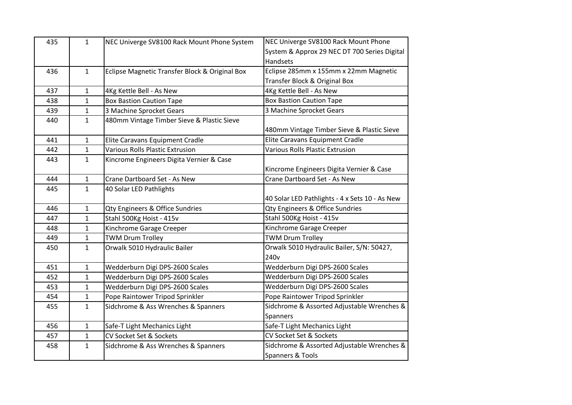| 435 | $\mathbf{1}$ | NEC Univerge SV8100 Rack Mount Phone System    | NEC Univerge SV8100 Rack Mount Phone           |
|-----|--------------|------------------------------------------------|------------------------------------------------|
|     |              |                                                | System & Approx 29 NEC DT 700 Series Digital   |
|     |              |                                                | Handsets                                       |
| 436 | 1            | Eclipse Magnetic Transfer Block & Original Box | Eclipse 285mm x 155mm x 22mm Magnetic          |
|     |              |                                                | Transfer Block & Original Box                  |
| 437 | $\mathbf{1}$ | 4Kg Kettle Bell - As New                       | 4Kg Kettle Bell - As New                       |
| 438 | $\mathbf{1}$ | <b>Box Bastion Caution Tape</b>                | <b>Box Bastion Caution Tape</b>                |
| 439 | $\mathbf{1}$ | 3 Machine Sprocket Gears                       | 3 Machine Sprocket Gears                       |
| 440 | $\mathbf{1}$ | 480mm Vintage Timber Sieve & Plastic Sieve     |                                                |
|     |              |                                                | 480mm Vintage Timber Sieve & Plastic Sieve     |
| 441 | $\mathbf 1$  | Elite Caravans Equipment Cradle                | Elite Caravans Equipment Cradle                |
| 442 | $\mathbf{1}$ | Various Rolls Plastic Extrusion                | <b>Various Rolls Plastic Extrusion</b>         |
| 443 | $\mathbf{1}$ | Kincrome Engineers Digita Vernier & Case       |                                                |
|     |              |                                                | Kincrome Engineers Digita Vernier & Case       |
| 444 | $\mathbf{1}$ | Crane Dartboard Set - As New                   | Crane Dartboard Set - As New                   |
| 445 | $\mathbf{1}$ | 40 Solar LED Pathlights                        |                                                |
|     |              |                                                | 40 Solar LED Pathlights - 4 x Sets 10 - As New |
| 446 | 1            | Qty Engineers & Office Sundries                | Qty Engineers & Office Sundries                |
| 447 | 1            | Stahl 500Kg Hoist - 415v                       | Stahl 500Kg Hoist - 415v                       |
| 448 | 1            | Kinchrome Garage Creeper                       | Kinchrome Garage Creeper                       |
| 449 | $\mathbf{1}$ | <b>TWM Drum Trolley</b>                        | <b>TWM Drum Trolley</b>                        |
| 450 | $\mathbf{1}$ | Orwalk 5010 Hydraulic Bailer                   | Orwalk 5010 Hydraulic Bailer, S/N: 50427,      |
|     |              |                                                | 240 <sub>v</sub>                               |
| 451 | $\mathbf{1}$ | Wedderburn Digi DPS-2600 Scales                | Wedderburn Digi DPS-2600 Scales                |
| 452 | $\mathbf{1}$ | Wedderburn Digi DPS-2600 Scales                | Wedderburn Digi DPS-2600 Scales                |
| 453 | $\mathbf{1}$ | Wedderburn Digi DPS-2600 Scales                | Wedderburn Digi DPS-2600 Scales                |
| 454 | $\mathbf{1}$ | Pope Raintower Tripod Sprinkler                | Pope Raintower Tripod Sprinkler                |
| 455 | $\mathbf{1}$ | Sidchrome & Ass Wrenches & Spanners            | Sidchrome & Assorted Adjustable Wrenches &     |
|     |              |                                                | Spanners                                       |
| 456 | $\mathbf{1}$ | Safe-T Light Mechanics Light                   | Safe-T Light Mechanics Light                   |
| 457 | 1            | CV Socket Set & Sockets                        | CV Socket Set & Sockets                        |
| 458 | $\mathbf{1}$ | Sidchrome & Ass Wrenches & Spanners            | Sidchrome & Assorted Adjustable Wrenches &     |
|     |              |                                                | Spanners & Tools                               |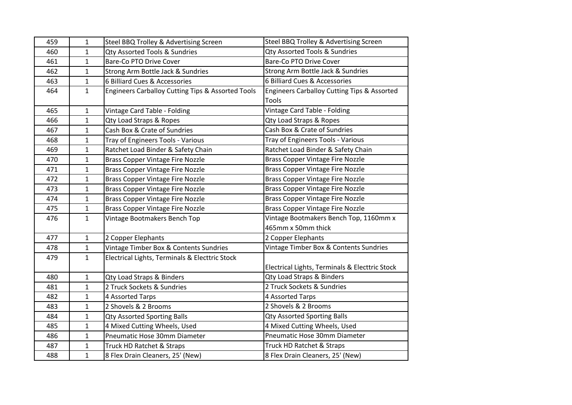| 459 | 1            | Steel BBQ Trolley & Advertising Screen            | Steel BBQ Trolley & Advertising Screen         |
|-----|--------------|---------------------------------------------------|------------------------------------------------|
| 460 | $\mathbf{1}$ | Qty Assorted Tools & Sundries                     | Qty Assorted Tools & Sundries                  |
| 461 | $\mathbf{1}$ | Bare-Co PTO Drive Cover                           | Bare-Co PTO Drive Cover                        |
| 462 | $\mathbf{1}$ | Strong Arm Bottle Jack & Sundries                 | Strong Arm Bottle Jack & Sundries              |
| 463 | 1            | 6 Billiard Cues & Accessories                     | 6 Billiard Cues & Accessories                  |
| 464 | $\mathbf{1}$ | Engineers Carballoy Cutting Tips & Assorted Tools | Engineers Carballoy Cutting Tips & Assorted    |
|     |              |                                                   | Tools                                          |
| 465 | $\mathbf 1$  | Vintage Card Table - Folding                      | Vintage Card Table - Folding                   |
| 466 | 1            | Qty Load Straps & Ropes                           | Qty Load Straps & Ropes                        |
| 467 | 1            | Cash Box & Crate of Sundries                      | Cash Box & Crate of Sundries                   |
| 468 | $\mathbf{1}$ | Tray of Engineers Tools - Various                 | Tray of Engineers Tools - Various              |
| 469 | $\mathbf 1$  | Ratchet Load Binder & Safety Chain                | Ratchet Load Binder & Safety Chain             |
| 470 | $\mathbf{1}$ | <b>Brass Copper Vintage Fire Nozzle</b>           | <b>Brass Copper Vintage Fire Nozzle</b>        |
| 471 | $\mathbf{1}$ | <b>Brass Copper Vintage Fire Nozzle</b>           | <b>Brass Copper Vintage Fire Nozzle</b>        |
| 472 | $\mathbf{1}$ | <b>Brass Copper Vintage Fire Nozzle</b>           | <b>Brass Copper Vintage Fire Nozzle</b>        |
| 473 | 1            | <b>Brass Copper Vintage Fire Nozzle</b>           | <b>Brass Copper Vintage Fire Nozzle</b>        |
| 474 | 1            | <b>Brass Copper Vintage Fire Nozzle</b>           | <b>Brass Copper Vintage Fire Nozzle</b>        |
| 475 | 1            | <b>Brass Copper Vintage Fire Nozzle</b>           | <b>Brass Copper Vintage Fire Nozzle</b>        |
| 476 | 1            | Vintage Bootmakers Bench Top                      | Vintage Bootmakers Bench Top, 1160mm x         |
|     |              |                                                   | 465mm x 50mm thick                             |
| 477 | $\mathbf{1}$ | 2 Copper Elephants                                | 2 Copper Elephants                             |
| 478 | $\mathbf{1}$ | Vintage Timber Box & Contents Sundries            | Vintage Timber Box & Contents Sundries         |
| 479 | $\mathbf{1}$ | Electrical Lights, Terminals & Electtric Stock    |                                                |
|     |              |                                                   | Electrical Lights, Terminals & Electtric Stock |
| 480 | $\mathbf{1}$ | Qty Load Straps & Binders                         | Qty Load Straps & Binders                      |
| 481 | $\mathbf{1}$ | 2 Truck Sockets & Sundries                        | 2 Truck Sockets & Sundries                     |
| 482 | 1            | 4 Assorted Tarps                                  | 4 Assorted Tarps                               |
| 483 | $\mathbf 1$  | 2 Shovels & 2 Brooms                              | 2 Shovels & 2 Brooms                           |
| 484 | $\mathbf 1$  | <b>Qty Assorted Sporting Balls</b>                | <b>Qty Assorted Sporting Balls</b>             |
| 485 | 1            | 4 Mixed Cutting Wheels, Used                      | 4 Mixed Cutting Wheels, Used                   |
| 486 | $\mathbf{1}$ | Pneumatic Hose 30mm Diameter                      | Pneumatic Hose 30mm Diameter                   |
| 487 | $\mathbf 1$  | Truck HD Ratchet & Straps                         | Truck HD Ratchet & Straps                      |
| 488 | $\mathbf{1}$ | 8 Flex Drain Cleaners, 25' (New)                  | 8 Flex Drain Cleaners, 25' (New)               |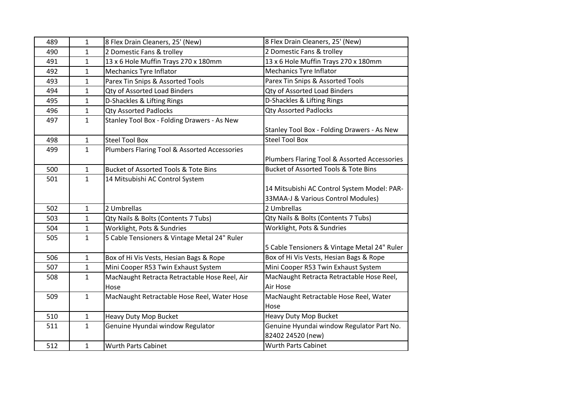| 489 | 1            | 8 Flex Drain Cleaners, 25' (New)                      | 8 Flex Drain Cleaners, 25' (New)                                                  |
|-----|--------------|-------------------------------------------------------|-----------------------------------------------------------------------------------|
| 490 | $\mathbf{1}$ | 2 Domestic Fans & trolley                             | 2 Domestic Fans & trolley                                                         |
| 491 | $\mathbf{1}$ | 13 x 6 Hole Muffin Trays 270 x 180mm                  | 13 x 6 Hole Muffin Trays 270 x 180mm                                              |
| 492 | $\mathbf{1}$ | <b>Mechanics Tyre Inflator</b>                        | Mechanics Tyre Inflator                                                           |
| 493 | $\mathbf{1}$ | Parex Tin Snips & Assorted Tools                      | Parex Tin Snips & Assorted Tools                                                  |
| 494 | $\mathbf{1}$ | Qty of Assorted Load Binders                          | Qty of Assorted Load Binders                                                      |
| 495 | $\mathbf{1}$ | D-Shackles & Lifting Rings                            | D-Shackles & Lifting Rings                                                        |
| 496 | $\mathbf{1}$ | <b>Qty Assorted Padlocks</b>                          | <b>Qty Assorted Padlocks</b>                                                      |
| 497 | $\mathbf{1}$ | Stanley Tool Box - Folding Drawers - As New           | Stanley Tool Box - Folding Drawers - As New                                       |
| 498 | $\mathbf{1}$ | <b>Steel Tool Box</b>                                 | <b>Steel Tool Box</b>                                                             |
| 499 | $\mathbf{1}$ | Plumbers Flaring Tool & Assorted Accessories          |                                                                                   |
|     |              |                                                       | Plumbers Flaring Tool & Assorted Accessories                                      |
| 500 | $\mathbf{1}$ | <b>Bucket of Assorted Tools &amp; Tote Bins</b>       | <b>Bucket of Assorted Tools &amp; Tote Bins</b>                                   |
| 501 | $\mathbf{1}$ | 14 Mitsubishi AC Control System                       | 14 Mitsubishi AC Control System Model: PAR-<br>33MAA-J & Various Control Modules) |
| 502 | $\mathbf{1}$ | 2 Umbrellas                                           | 2 Umbrellas                                                                       |
| 503 | $\mathbf{1}$ | Qty Nails & Bolts (Contents 7 Tubs)                   | Qty Nails & Bolts (Contents 7 Tubs)                                               |
| 504 | $\mathbf{1}$ | Worklight, Pots & Sundries                            | Worklight, Pots & Sundries                                                        |
| 505 | $\mathbf{1}$ | 5 Cable Tensioners & Vintage Metal 24" Ruler          | 5 Cable Tensioners & Vintage Metal 24" Ruler                                      |
| 506 | $\mathbf{1}$ | Box of Hi Vis Vests, Hesian Bags & Rope               | Box of Hi Vis Vests, Hesian Bags & Rope                                           |
| 507 | $\mathbf{1}$ | Mini Cooper R53 Twin Exhaust System                   | Mini Cooper R53 Twin Exhaust System                                               |
| 508 | $\mathbf{1}$ | MacNaught Retracta Retractable Hose Reel, Air<br>Hose | MacNaught Retracta Retractable Hose Reel,<br>Air Hose                             |
| 509 | $\mathbf{1}$ | MacNaught Retractable Hose Reel, Water Hose           | MacNaught Retractable Hose Reel, Water<br>Hose                                    |
| 510 | $\mathbf{1}$ | <b>Heavy Duty Mop Bucket</b>                          | Heavy Duty Mop Bucket                                                             |
| 511 | $\mathbf{1}$ | Genuine Hyundai window Regulator                      | Genuine Hyundai window Regulator Part No.<br>82402 24520 (new)                    |
| 512 | $\mathbf{1}$ | <b>Wurth Parts Cabinet</b>                            | <b>Wurth Parts Cabinet</b>                                                        |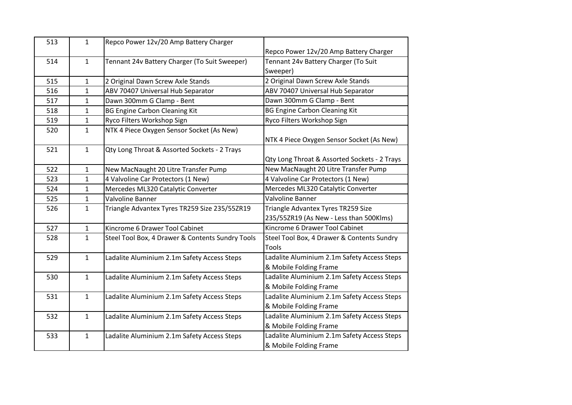| 513 | $\mathbf{1}$ | Repco Power 12v/20 Amp Battery Charger           | Repco Power 12v/20 Amp Battery Charger       |
|-----|--------------|--------------------------------------------------|----------------------------------------------|
| 514 | $\mathbf{1}$ | Tennant 24v Battery Charger (To Suit Sweeper)    | Tennant 24v Battery Charger (To Suit         |
|     |              |                                                  | Sweeper)                                     |
| 515 | $\mathbf{1}$ | 2 Original Dawn Screw Axle Stands                | 2 Original Dawn Screw Axle Stands            |
| 516 | 1            | ABV 70407 Universal Hub Separator                | ABV 70407 Universal Hub Separator            |
| 517 | 1            | Dawn 300mm G Clamp - Bent                        | Dawn 300mm G Clamp - Bent                    |
| 518 | $\mathbf{1}$ | <b>BG Engine Carbon Cleaning Kit</b>             | <b>BG Engine Carbon Cleaning Kit</b>         |
| 519 | 1            | Ryco Filters Workshop Sign                       | Ryco Filters Workshop Sign                   |
| 520 | $\mathbf{1}$ | NTK 4 Piece Oxygen Sensor Socket (As New)        |                                              |
|     |              |                                                  | NTK 4 Piece Oxygen Sensor Socket (As New)    |
| 521 | $\mathbf{1}$ | Qty Long Throat & Assorted Sockets - 2 Trays     |                                              |
|     |              |                                                  | Qty Long Throat & Assorted Sockets - 2 Trays |
| 522 | $\mathbf{1}$ | New MacNaught 20 Litre Transfer Pump             | New MacNaught 20 Litre Transfer Pump         |
| 523 | 1            | 4 Valvoline Car Protectors (1 New)               | 4 Valvoline Car Protectors (1 New)           |
| 524 | 1            | Mercedes ML320 Catalytic Converter               | Mercedes ML320 Catalytic Converter           |
|     |              |                                                  |                                              |
| 525 | $\mathbf{1}$ | Valvoline Banner                                 | <b>Valvoline Banner</b>                      |
| 526 | $\mathbf 1$  | Triangle Advantex Tyres TR259 Size 235/55ZR19    | Triangle Advantex Tyres TR259 Size           |
|     |              |                                                  | 235/55ZR19 (As New - Less than 500Klms)      |
| 527 | $\mathbf{1}$ | Kincrome 6 Drawer Tool Cabinet                   | Kincrome 6 Drawer Tool Cabinet               |
| 528 | $\mathbf{1}$ | Steel Tool Box, 4 Drawer & Contents Sundry Tools | Steel Tool Box, 4 Drawer & Contents Sundry   |
|     |              |                                                  | <b>Tools</b>                                 |
| 529 | $\mathbf{1}$ | Ladalite Aluminium 2.1m Safety Access Steps      | Ladalite Aluminium 2.1m Safety Access Steps  |
|     |              |                                                  | & Mobile Folding Frame                       |
| 530 | $\mathbf{1}$ | Ladalite Aluminium 2.1m Safety Access Steps      | Ladalite Aluminium 2.1m Safety Access Steps  |
|     |              |                                                  | & Mobile Folding Frame                       |
| 531 | $\mathbf{1}$ | Ladalite Aluminium 2.1m Safety Access Steps      | Ladalite Aluminium 2.1m Safety Access Steps  |
|     |              |                                                  | & Mobile Folding Frame                       |
| 532 | $\mathbf{1}$ | Ladalite Aluminium 2.1m Safety Access Steps      | Ladalite Aluminium 2.1m Safety Access Steps  |
|     |              |                                                  | & Mobile Folding Frame                       |
| 533 | $\mathbf{1}$ | Ladalite Aluminium 2.1m Safety Access Steps      | Ladalite Aluminium 2.1m Safety Access Steps  |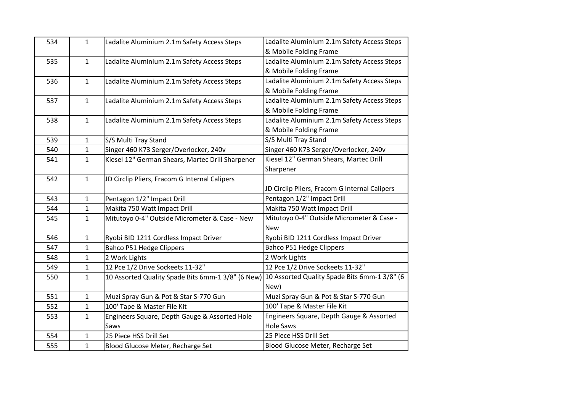| 534 | $\mathbf{1}$ | Ladalite Aluminium 2.1m Safety Access Steps       | Ladalite Aluminium 2.1m Safety Access Steps   |
|-----|--------------|---------------------------------------------------|-----------------------------------------------|
|     |              |                                                   | & Mobile Folding Frame                        |
| 535 | 1            | Ladalite Aluminium 2.1m Safety Access Steps       | Ladalite Aluminium 2.1m Safety Access Steps   |
|     |              |                                                   | & Mobile Folding Frame                        |
| 536 | $\mathbf{1}$ | Ladalite Aluminium 2.1m Safety Access Steps       | Ladalite Aluminium 2.1m Safety Access Steps   |
|     |              |                                                   | & Mobile Folding Frame                        |
| 537 | 1            | Ladalite Aluminium 2.1m Safety Access Steps       | Ladalite Aluminium 2.1m Safety Access Steps   |
|     |              |                                                   | & Mobile Folding Frame                        |
| 538 | 1            | Ladalite Aluminium 2.1m Safety Access Steps       | Ladalite Aluminium 2.1m Safety Access Steps   |
|     |              |                                                   | & Mobile Folding Frame                        |
| 539 | $\mathbf{1}$ | S/S Multi Tray Stand                              | S/S Multi Tray Stand                          |
| 540 | $\mathbf{1}$ | Singer 460 K73 Serger/Overlocker, 240v            | Singer 460 K73 Serger/Overlocker, 240v        |
| 541 | $\mathbf{1}$ | Kiesel 12" German Shears, Martec Drill Sharpener  | Kiesel 12" German Shears, Martec Drill        |
|     |              |                                                   | Sharpener                                     |
| 542 | 1            | JD Circlip Pliers, Fracom G Internal Calipers     |                                               |
|     |              |                                                   | JD Circlip Pliers, Fracom G Internal Calipers |
| 543 | $\mathbf{1}$ | Pentagon 1/2" Impact Drill                        | Pentagon 1/2" Impact Drill                    |
| 544 | $\mathbf{1}$ | Makita 750 Watt Impact Drill                      | Makita 750 Watt Impact Drill                  |
| 545 | $\mathbf{1}$ | Mitutoyo 0-4" Outside Micrometer & Case - New     | Mitutoyo 0-4" Outside Micrometer & Case -     |
|     |              |                                                   | <b>New</b>                                    |
| 546 | 1            | Ryobi BID 1211 Cordless Impact Driver             | Ryobi BID 1211 Cordless Impact Driver         |
| 547 | $\mathbf{1}$ | Bahco P51 Hedge Clippers                          | Bahco P51 Hedge Clippers                      |
| 548 | $\mathbf{1}$ | 2 Work Lights                                     | 2 Work Lights                                 |
| 549 | $\mathbf{1}$ | 12 Pce 1/2 Drive Sockeets 11-32"                  | 12 Pce 1/2 Drive Sockeets 11-32"              |
| 550 | $\mathbf{1}$ | 10 Assorted Quality Spade Bits 6mm-1 3/8" (6 New) | 10 Assorted Quality Spade Bits 6mm-1 3/8" (6  |
|     |              |                                                   | New)                                          |
| 551 | $\mathbf{1}$ | Muzi Spray Gun & Pot & Star S-770 Gun             | Muzi Spray Gun & Pot & Star S-770 Gun         |
| 552 | $\mathbf{1}$ | 100' Tape & Master File Kit                       | 100' Tape & Master File Kit                   |
| 553 | $\mathbf{1}$ | Engineers Square, Depth Gauge & Assorted Hole     | Engineers Square, Depth Gauge & Assorted      |
|     |              | Saws                                              | <b>Hole Saws</b>                              |
| 554 | 1            | 25 Piece HSS Drill Set                            | 25 Piece HSS Drill Set                        |
| 555 | $\mathbf{1}$ | Blood Glucose Meter, Recharge Set                 | Blood Glucose Meter, Recharge Set             |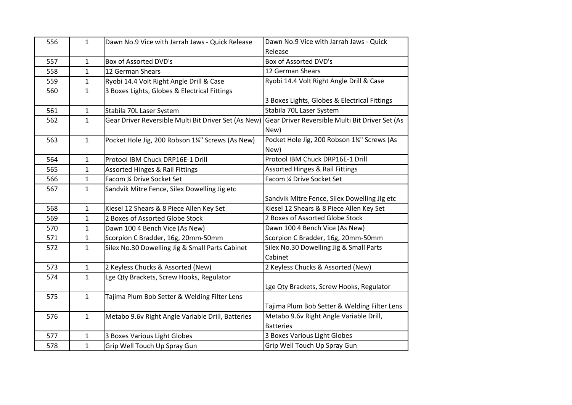| 556 | 1            | Dawn No.9 Vice with Jarrah Jaws - Quick Release      | Dawn No.9 Vice with Jarrah Jaws - Quick                     |
|-----|--------------|------------------------------------------------------|-------------------------------------------------------------|
|     |              |                                                      | Release                                                     |
| 557 | $\mathbf{1}$ | Box of Assorted DVD's                                | Box of Assorted DVD's                                       |
| 558 | 1            | 12 German Shears                                     | 12 German Shears                                            |
| 559 | $\mathbf{1}$ | Ryobi 14.4 Volt Right Angle Drill & Case             | Ryobi 14.4 Volt Right Angle Drill & Case                    |
| 560 | $\mathbf{1}$ | 3 Boxes Lights, Globes & Electrical Fittings         | 3 Boxes Lights, Globes & Electrical Fittings                |
| 561 | $\mathbf{1}$ | Stabila 70L Laser System                             | Stabila 70L Laser System                                    |
| 562 | $\mathbf{1}$ | Gear Driver Reversible Multi Bit Driver Set (As New) | Gear Driver Reversible Multi Bit Driver Set (As<br>New)     |
| 563 | $\mathbf{1}$ | Pocket Hole Jig, 200 Robson 1¼" Screws (As New)      | Pocket Hole Jig, 200 Robson 1¼" Screws (As<br>New)          |
| 564 | 1            | Protool IBM Chuck DRP16E-1 Drill                     | Protool IBM Chuck DRP16E-1 Drill                            |
| 565 | 1            | <b>Assorted Hinges &amp; Rail Fittings</b>           | <b>Assorted Hinges &amp; Rail Fittings</b>                  |
| 566 | 1            | Facom 1/4 Drive Socket Set                           | Facom 1/4 Drive Socket Set                                  |
| 567 | $\mathbf{1}$ | Sandvik Mitre Fence, Silex Dowelling Jig etc         | Sandvik Mitre Fence, Silex Dowelling Jig etc                |
| 568 | 1            | Kiesel 12 Shears & 8 Piece Allen Key Set             | Kiesel 12 Shears & 8 Piece Allen Key Set                    |
| 569 | $\mathbf{1}$ | 2 Boxes of Assorted Globe Stock                      | 2 Boxes of Assorted Globe Stock                             |
| 570 | 1            | Dawn 100 4 Bench Vice (As New)                       | Dawn 100 4 Bench Vice (As New)                              |
| 571 | 1            | Scorpion C Bradder, 16g, 20mm-50mm                   | Scorpion C Bradder, 16g, 20mm-50mm                          |
| 572 | $\mathbf{1}$ | Silex No.30 Dowelling Jig & Small Parts Cabinet      | Silex No.30 Dowelling Jig & Small Parts<br>Cabinet          |
| 573 | $\mathbf 1$  | 2 Keyless Chucks & Assorted (New)                    | 2 Keyless Chucks & Assorted (New)                           |
| 574 | $\mathbf{1}$ | Lge Qty Brackets, Screw Hooks, Regulator             | Lge Qty Brackets, Screw Hooks, Regulator                    |
| 575 | 1            | Tajima Plum Bob Setter & Welding Filter Lens         | Tajima Plum Bob Setter & Welding Filter Lens                |
| 576 | $\mathbf{1}$ | Metabo 9.6v Right Angle Variable Drill, Batteries    | Metabo 9.6v Right Angle Variable Drill,<br><b>Batteries</b> |
| 577 | 1            | 3 Boxes Various Light Globes                         | 3 Boxes Various Light Globes                                |
| 578 | 1            | Grip Well Touch Up Spray Gun                         | Grip Well Touch Up Spray Gun                                |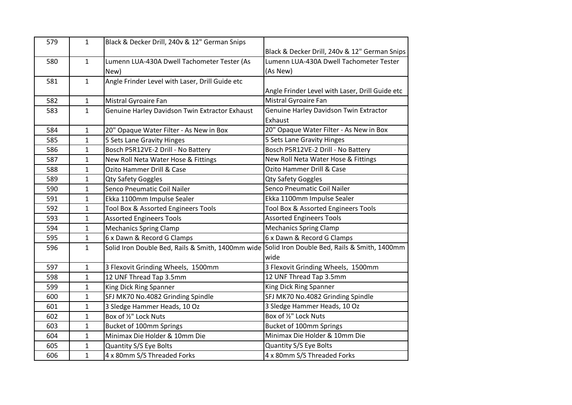| 579 | $\mathbf{1}$ | Black & Decker Drill, 240v & 12" German Snips                                                  |                                                 |
|-----|--------------|------------------------------------------------------------------------------------------------|-------------------------------------------------|
|     |              |                                                                                                | Black & Decker Drill, 240v & 12" German Snips   |
| 580 | $\mathbf{1}$ | Lumenn LUA-430A Dwell Tachometer Tester (As                                                    | Lumenn LUA-430A Dwell Tachometer Tester         |
|     |              | New)                                                                                           | (As New)                                        |
| 581 | $\mathbf{1}$ | Angle Frinder Level with Laser, Drill Guide etc                                                |                                                 |
|     |              |                                                                                                | Angle Frinder Level with Laser, Drill Guide etc |
| 582 | $\mathbf{1}$ | Mistral Gyroaire Fan                                                                           | Mistral Gyroaire Fan                            |
| 583 | 1            | Genuine Harley Davidson Twin Extractor Exhaust                                                 | Genuine Harley Davidson Twin Extractor          |
|     |              |                                                                                                | Exhaust                                         |
| 584 | $\mathbf{1}$ | 20" Opaque Water Filter - As New in Box                                                        | 20" Opaque Water Filter - As New in Box         |
| 585 | $\mathbf{1}$ | 5 Sets Lane Gravity Hinges                                                                     | 5 Sets Lane Gravity Hinges                      |
| 586 | 1            | Bosch P5R12VE-2 Drill - No Battery                                                             | Bosch P5R12VE-2 Drill - No Battery              |
| 587 | $\mathbf{1}$ | New Roll Neta Water Hose & Fittings                                                            | New Roll Neta Water Hose & Fittings             |
| 588 | $\mathbf{1}$ | Ozito Hammer Drill & Case                                                                      | Ozito Hammer Drill & Case                       |
| 589 | $\mathbf{1}$ | <b>Qty Safety Goggles</b>                                                                      | <b>Qty Safety Goggles</b>                       |
| 590 | 1            | Senco Pneumatic Coil Nailer                                                                    | Senco Pneumatic Coil Nailer                     |
| 591 | $\mathbf{1}$ | Ekka 1100mm Impulse Sealer                                                                     | Ekka 1100mm Impulse Sealer                      |
| 592 | $\mathbf{1}$ | Tool Box & Assorted Engineers Tools                                                            | Tool Box & Assorted Engineers Tools             |
| 593 | 1            | <b>Assorted Engineers Tools</b>                                                                | <b>Assorted Engineers Tools</b>                 |
| 594 | $\mathbf{1}$ | <b>Mechanics Spring Clamp</b>                                                                  | <b>Mechanics Spring Clamp</b>                   |
| 595 | $\mathbf{1}$ | 6 x Dawn & Record G Clamps                                                                     | 6 x Dawn & Record G Clamps                      |
| 596 | $\mathbf{1}$ | Solid Iron Double Bed, Rails & Smith, 1400mm wide Solid Iron Double Bed, Rails & Smith, 1400mm |                                                 |
|     |              |                                                                                                | wide                                            |
| 597 | $\mathbf{1}$ | 3 Flexovit Grinding Wheels, 1500mm                                                             | 3 Flexovit Grinding Wheels, 1500mm              |
| 598 | $\mathbf{1}$ | 12 UNF Thread Tap 3.5mm                                                                        | 12 UNF Thread Tap 3.5mm                         |
| 599 | $\mathbf{1}$ | King Dick Ring Spanner                                                                         | King Dick Ring Spanner                          |
| 600 | 1            | SFJ MK70 No.4082 Grinding Spindle                                                              | SFJ MK70 No.4082 Grinding Spindle               |
| 601 | $\mathbf{1}$ | 3 Sledge Hammer Heads, 10 Oz                                                                   | 3 Sledge Hammer Heads, 10 Oz                    |
| 602 | $\mathbf{1}$ | Box of 1/2" Lock Nuts                                                                          | Box of 1/2" Lock Nuts                           |
| 603 | $\mathbf{1}$ | Bucket of 100mm Springs                                                                        | Bucket of 100mm Springs                         |
| 604 | 1            | Minimax Die Holder & 10mm Die                                                                  | Minimax Die Holder & 10mm Die                   |
| 605 | $\mathbf{1}$ | Quantity S/S Eye Bolts                                                                         | Quantity S/S Eye Bolts                          |
| 606 | $\mathbf{1}$ | 4 x 80mm S/S Threaded Forks                                                                    | 4 x 80mm S/S Threaded Forks                     |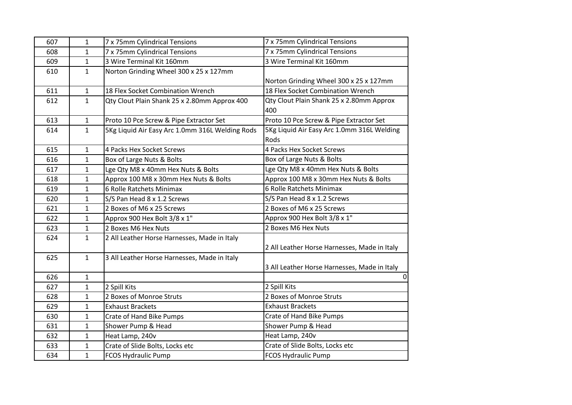| 607 | $\mathbf{1}$ | 7 x 75mm Cylindrical Tensions                   | 7 x 75mm Cylindrical Tensions                |
|-----|--------------|-------------------------------------------------|----------------------------------------------|
| 608 | $\mathbf{1}$ | 7 x 75mm Cylindrical Tensions                   | 7 x 75mm Cylindrical Tensions                |
| 609 | $\mathbf{1}$ | 3 Wire Terminal Kit 160mm                       | 3 Wire Terminal Kit 160mm                    |
| 610 | $\mathbf{1}$ | Norton Grinding Wheel 300 x 25 x 127mm          |                                              |
|     |              |                                                 | Norton Grinding Wheel 300 x 25 x 127mm       |
| 611 | $\mathbf{1}$ | 18 Flex Socket Combination Wrench               | 18 Flex Socket Combination Wrench            |
| 612 | $\mathbf{1}$ | Qty Clout Plain Shank 25 x 2.80mm Approx 400    | Qty Clout Plain Shank 25 x 2.80mm Approx     |
|     |              |                                                 | 400                                          |
| 613 | $\mathbf{1}$ | Proto 10 Pce Screw & Pipe Extractor Set         | Proto 10 Pce Screw & Pipe Extractor Set      |
| 614 | $\mathbf{1}$ | 5Kg Liquid Air Easy Arc 1.0mm 316L Welding Rods | 5Kg Liquid Air Easy Arc 1.0mm 316L Welding   |
|     |              |                                                 | Rods                                         |
| 615 | $\mathbf{1}$ | 4 Packs Hex Socket Screws                       | 4 Packs Hex Socket Screws                    |
| 616 | $\mathbf{1}$ | Box of Large Nuts & Bolts                       | Box of Large Nuts & Bolts                    |
| 617 | $\mathbf{1}$ | Lge Qty M8 x 40mm Hex Nuts & Bolts              | Lge Qty M8 x 40mm Hex Nuts & Bolts           |
| 618 | $\mathbf{1}$ | Approx 100 M8 x 30mm Hex Nuts & Bolts           | Approx 100 M8 x 30mm Hex Nuts & Bolts        |
| 619 | $\mathbf{1}$ | 6 Rolle Ratchets Minimax                        | 6 Rolle Ratchets Minimax                     |
| 620 | $\mathbf{1}$ | S/S Pan Head 8 x 1.2 Screws                     | S/S Pan Head 8 x 1.2 Screws                  |
| 621 | $\mathbf{1}$ | 2 Boxes of M6 x 25 Screws                       | 2 Boxes of M6 x 25 Screws                    |
| 622 | $\mathbf{1}$ | Approx 900 Hex Bolt 3/8 x 1"                    | Approx 900 Hex Bolt 3/8 x 1"                 |
| 623 | $\mathbf{1}$ | 2 Boxes M6 Hex Nuts                             | 2 Boxes M6 Hex Nuts                          |
| 624 | $\mathbf{1}$ | 2 All Leather Horse Harnesses, Made in Italy    |                                              |
|     |              |                                                 | 2 All Leather Horse Harnesses, Made in Italy |
| 625 | $\mathbf{1}$ | 3 All Leather Horse Harnesses, Made in Italy    |                                              |
|     |              |                                                 | 3 All Leather Horse Harnesses, Made in Italy |
| 626 | $\mathbf{1}$ |                                                 | $\Omega$                                     |
| 627 | $\mathbf{1}$ | 2 Spill Kits                                    | 2 Spill Kits                                 |
| 628 | $\mathbf{1}$ | 2 Boxes of Monroe Struts                        | 2 Boxes of Monroe Struts                     |
| 629 | $\mathbf{1}$ | <b>Exhaust Brackets</b>                         | <b>Exhaust Brackets</b>                      |
| 630 | $\mathbf{1}$ | Crate of Hand Bike Pumps                        | Crate of Hand Bike Pumps                     |
| 631 | $\mathbf{1}$ | Shower Pump & Head                              | Shower Pump & Head                           |
| 632 | $\mathbf{1}$ | Heat Lamp, 240v                                 | Heat Lamp, 240v                              |
| 633 | $\mathbf{1}$ | Crate of Slide Bolts, Locks etc                 | Crate of Slide Bolts, Locks etc              |
| 634 | $\mathbf{1}$ | <b>FCOS Hydraulic Pump</b>                      | <b>FCOS Hydraulic Pump</b>                   |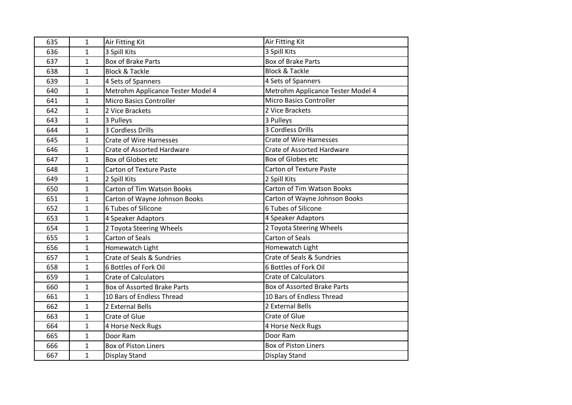| 635 | $\mathbf{1}$ | Air Fitting Kit                    | Air Fitting Kit                    |
|-----|--------------|------------------------------------|------------------------------------|
| 636 | $\mathbf{1}$ | 3 Spill Kits                       | 3 Spill Kits                       |
| 637 | 1            | <b>Box of Brake Parts</b>          | <b>Box of Brake Parts</b>          |
| 638 | 1            | <b>Block &amp; Tackle</b>          | <b>Block &amp; Tackle</b>          |
| 639 | 1            | 4 Sets of Spanners                 | 4 Sets of Spanners                 |
| 640 | 1            | Metrohm Applicance Tester Model 4  | Metrohm Applicance Tester Model 4  |
| 641 | $\mathbf{1}$ | <b>Micro Basics Controller</b>     | Micro Basics Controller            |
| 642 | 1            | 2 Vice Brackets                    | 2 Vice Brackets                    |
| 643 | 1            | 3 Pulleys                          | 3 Pulleys                          |
| 644 | 1            | 3 Cordless Drills                  | 3 Cordless Drills                  |
| 645 | $\mathbf{1}$ | <b>Crate of Wire Harnesses</b>     | <b>Crate of Wire Harnesses</b>     |
| 646 | 1            | <b>Crate of Assorted Hardware</b>  | <b>Crate of Assorted Hardware</b>  |
| 647 | 1            | Box of Globes etc                  | Box of Globes etc                  |
| 648 | 1            | <b>Carton of Texture Paste</b>     | <b>Carton of Texture Paste</b>     |
| 649 | $\mathbf{1}$ | 2 Spill Kits                       | 2 Spill Kits                       |
| 650 | 1            | <b>Carton of Tim Watson Books</b>  | <b>Carton of Tim Watson Books</b>  |
| 651 | 1            | Carton of Wayne Johnson Books      | Carton of Wayne Johnson Books      |
| 652 | 1            | 6 Tubes of Silicone                | 6 Tubes of Silicone                |
| 653 | $\mathbf{1}$ | 4 Speaker Adaptors                 | 4 Speaker Adaptors                 |
| 654 | $\mathbf{1}$ | 2 Toyota Steering Wheels           | 2 Toyota Steering Wheels           |
| 655 | 1            | <b>Carton of Seals</b>             | <b>Carton of Seals</b>             |
| 656 | $\mathbf{1}$ | Homewatch Light                    | Homewatch Light                    |
| 657 | $\mathbf{1}$ | Crate of Seals & Sundries          | Crate of Seals & Sundries          |
| 658 | $\mathbf{1}$ | 6 Bottles of Fork Oil              | 6 Bottles of Fork Oil              |
| 659 | 1            | <b>Crate of Calculators</b>        | <b>Crate of Calculators</b>        |
| 660 | $\mathbf{1}$ | <b>Box of Assorted Brake Parts</b> | <b>Box of Assorted Brake Parts</b> |
| 661 | $\mathbf{1}$ | 10 Bars of Endless Thread          | 10 Bars of Endless Thread          |
| 662 | 1            | 2 External Bells                   | 2 External Bells                   |
| 663 | $\mathbf{1}$ | Crate of Glue                      | Crate of Glue                      |
| 664 | 1            | 4 Horse Neck Rugs                  | 4 Horse Neck Rugs                  |
| 665 | $\mathbf{1}$ | Door Ram                           | Door Ram                           |
| 666 | 1            | <b>Box of Piston Liners</b>        | <b>Box of Piston Liners</b>        |
| 667 | 1            | <b>Display Stand</b>               | Display Stand                      |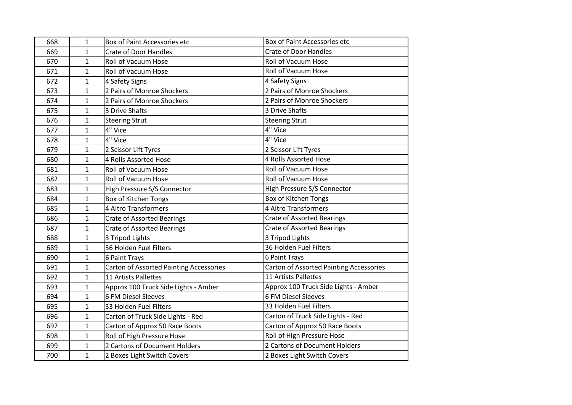| 668 | 1            | Box of Paint Accessories etc            | Box of Paint Accessories etc            |
|-----|--------------|-----------------------------------------|-----------------------------------------|
| 669 | $\mathbf{1}$ | <b>Crate of Door Handles</b>            | <b>Crate of Door Handles</b>            |
| 670 | $\mathbf{1}$ | Roll of Vacuum Hose                     | <b>Roll of Vacuum Hose</b>              |
| 671 | 1            | <b>Roll of Vacuum Hose</b>              | Roll of Vacuum Hose                     |
| 672 | 1            | 4 Safety Signs                          | 4 Safety Signs                          |
| 673 | 1            | 2 Pairs of Monroe Shockers              | 2 Pairs of Monroe Shockers              |
| 674 | 1            | 2 Pairs of Monroe Shockers              | 2 Pairs of Monroe Shockers              |
| 675 | 1            | 3 Drive Shafts                          | 3 Drive Shafts                          |
| 676 | 1            | <b>Steering Strut</b>                   | <b>Steering Strut</b>                   |
| 677 | $\mathbf{1}$ | 4" Vice                                 | 4" Vice                                 |
| 678 | $\mathbf{1}$ | 4" Vice                                 | 4" Vice                                 |
| 679 | 1            | 2 Scissor Lift Tyres                    | 2 Scissor Lift Tyres                    |
| 680 | 1            | 4 Rolls Assorted Hose                   | 4 Rolls Assorted Hose                   |
| 681 | 1            | <b>Roll of Vacuum Hose</b>              | <b>Roll of Vacuum Hose</b>              |
| 682 | $\mathbf{1}$ | Roll of Vacuum Hose                     | <b>Roll of Vacuum Hose</b>              |
| 683 | 1            | High Pressure S/S Connector             | High Pressure S/S Connector             |
| 684 | 1            | <b>Box of Kitchen Tongs</b>             | <b>Box of Kitchen Tongs</b>             |
| 685 | 1            | 4 Altro Transformers                    | 4 Altro Transformers                    |
| 686 | $\mathbf{1}$ | <b>Crate of Assorted Bearings</b>       | <b>Crate of Assorted Bearings</b>       |
| 687 | $\mathbf 1$  | <b>Crate of Assorted Bearings</b>       | <b>Crate of Assorted Bearings</b>       |
| 688 | $\mathbf{1}$ | 3 Tripod Lights                         | 3 Tripod Lights                         |
| 689 | 1            | 36 Holden Fuel Filters                  | 36 Holden Fuel Filters                  |
| 690 | 1            | 6 Paint Trays                           | 6 Paint Trays                           |
| 691 | $\mathbf{1}$ | Carton of Assorted Painting Accessories | Carton of Assorted Painting Accessories |
| 692 | $\mathbf{1}$ | 11 Artists Pallettes                    | 11 Artists Pallettes                    |
| 693 | 1            | Approx 100 Truck Side Lights - Amber    | Approx 100 Truck Side Lights - Amber    |
| 694 | 1            | <b>6 FM Diesel Sleeves</b>              | <b>6 FM Diesel Sleeves</b>              |
| 695 | 1            | 33 Holden Fuel Filters                  | 33 Holden Fuel Filters                  |
| 696 | $\mathbf{1}$ | Carton of Truck Side Lights - Red       | Carton of Truck Side Lights - Red       |
| 697 | 1            | Carton of Approx 50 Race Boots          | Carton of Approx 50 Race Boots          |
| 698 | 1            | Roll of High Pressure Hose              | Roll of High Pressure Hose              |
| 699 | 1            | 2 Cartons of Document Holders           | 2 Cartons of Document Holders           |
| 700 | $\mathbf{1}$ | 2 Boxes Light Switch Covers             | 2 Boxes Light Switch Covers             |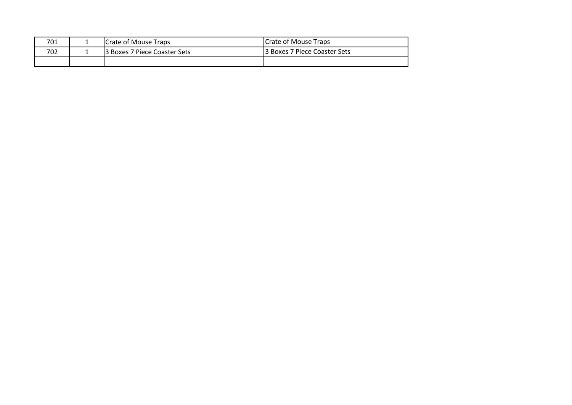| 701 | <b>ICrate of Mouse Traps</b>  | <b>Crate of Mouse Traps</b>  |
|-----|-------------------------------|------------------------------|
| 702 | 13 Boxes 7 Piece Coaster Sets | 3 Boxes 7 Piece Coaster Sets |
|     |                               |                              |